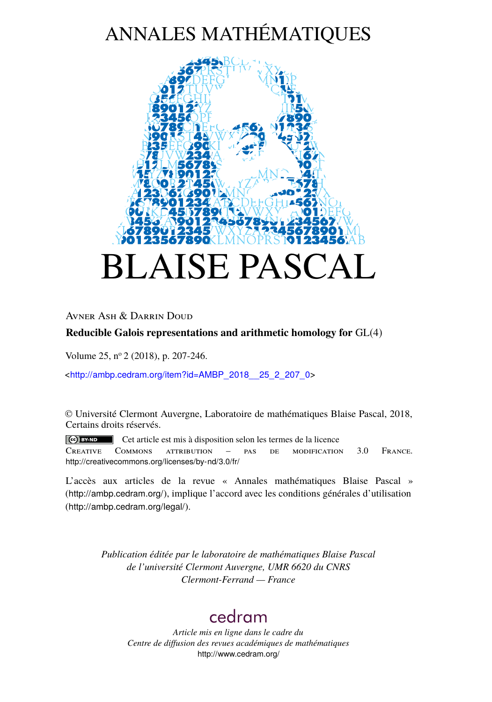# ANNALES MATHÉMATIQUES



Avner Ash & Darrin Doud

# **Reducible Galois representations and arithmetic homology for** GL(4)

Volume 25, n<sup>o</sup> 2 (2018), p. 207-246.

<[http://ambp.cedram.org/item?id=AMBP\\_2018\\_\\_25\\_2\\_207\\_0](http://ambp.cedram.org/item?id=AMBP_2018__25_2_207_0)>

© Université Clermont Auvergne, Laboratoire de mathématiques Blaise Pascal, 2018, Certains droits réservés.

Cet article est mis à disposition selon les termes de la licence Creative Commons attribution – pas de modification 3.0 France. <http://creativecommons.org/licenses/by-nd/3.0/fr/>

L'accès aux articles de la revue « Annales mathématiques Blaise Pascal » (<http://ambp.cedram.org/>), implique l'accord avec les conditions générales d'utilisation (<http://ambp.cedram.org/legal/>).

> *Publication éditée par le laboratoire de mathématiques Blaise Pascal de l'université Clermont Auvergne, UMR 6620 du CNRS Clermont-Ferrand — France*

# [cedram](http://www.cedram.org/)

*Article mis en ligne dans le cadre du Centre de diffusion des revues académiques de mathématiques* <http://www.cedram.org/>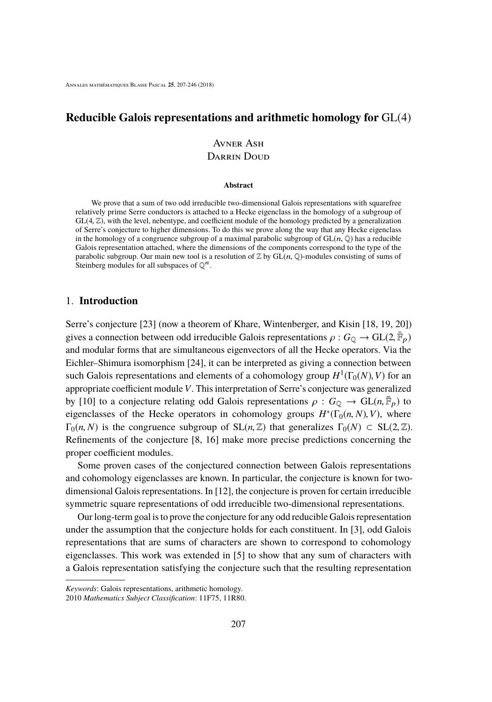# **Reducible Galois representations and arithmetic homology for** GL(4)

# Avner Ash DARRIN DOUD

#### **Abstract**

We prove that a sum of two odd irreducible two-dimensional Galois representations with squarefree relatively prime Serre conductors is attached to a Hecke eigenclass in the homology of a subgroup of GL(4, <sup>Z</sup>), with the level, nebentype, and coefficient module of the homology predicted by a generalization of Serre's conjecture to higher dimensions. To do this we prove along the way that any Hecke eigenclass in the homology of a congruence subgroup of a maximal parabolic subgroup of  $GL(n, \mathbb{Q})$  has a reducible Galois representation attached, where the dimensions of the components correspond to the type of the parabolic subgroup. Our main new tool is a resolution of  $\mathbb Z$  by  $GL(n, \mathbb Q)$ -modules consisting of sums of Steinberg modules for all subspaces of  $\mathbb{Q}^n$ .

### 1. **Introduction**

Serre's conjecture [\[23\]](#page-39-0) (now a theorem of Khare, Wintenberger, and Kisin [\[18,](#page-39-1) [19,](#page-39-2) [20\]](#page-39-3)) gives a connection between odd irreducible Galois representations  $\rho: G_{\mathbb{Q}} \to GL(2, \bar{\mathbb{F}}_p)$ <br>and modular forms that are simultaneous ejecuneators of all the Hecke operators. Via the and modular forms that are simultaneous eigenvectors of all the Hecke operators. Via the Eichler–Shimura isomorphism [\[24\]](#page-40-0), it can be interpreted as giving a connection between such Galois representations and elements of a cohomology group  $H^1(\Gamma_0(N), V)$  for an annonviate coefficient module *V*. This interpretation of Serre's conjecture was generalized appropriate coefficient module *V*. This interpretation of Serre's conjecture was generalized by [\[10\]](#page-39-4) to a conjecture relating odd Galois representations  $\rho : G_{\mathbb{Q}} \to GL(n, \bar{\mathbb{F}}_p)$  to eigencloses of the Hecke operators in cohomology groups  $H^*(\Gamma_1(n, N), V)$ , where eigenclasses of the Hecke operators in cohomology groups  $H^*(\Gamma_0(n, N), V)$ , where  $\Gamma_0(n, N)$  is the congruence subgroup of  $SL(n, \mathbb{Z})$  that generalizes  $\Gamma_0(N) \subset SL(2, \mathbb{Z})$ . Refinements of the conjecture [\[8,](#page-38-0) [16\]](#page-39-5) make more precise predictions concerning the proper coefficient modules.

Some proven cases of the conjectured connection between Galois representations and cohomology eigenclasses are known. In particular, the conjecture is known for twodimensional Galois representations. In [\[12\]](#page-39-6), the conjecture is proven for certain irreducible symmetric square representations of odd irreducible two-dimensional representations.

Our long-term goal is to prove the conjecture for any odd reducible Galois representation under the assumption that the conjecture holds for each constituent. In [\[3\]](#page-38-1), odd Galois representations that are sums of characters are shown to correspond to cohomology eigenclasses. This work was extended in [\[5\]](#page-38-2) to show that any sum of characters with a Galois representation satisfying the conjecture such that the resulting representation

Keywords: Galois representations, arithmetic homology.

<sup>2010</sup> Mathematics Subject Classification: 11F75, 11R80.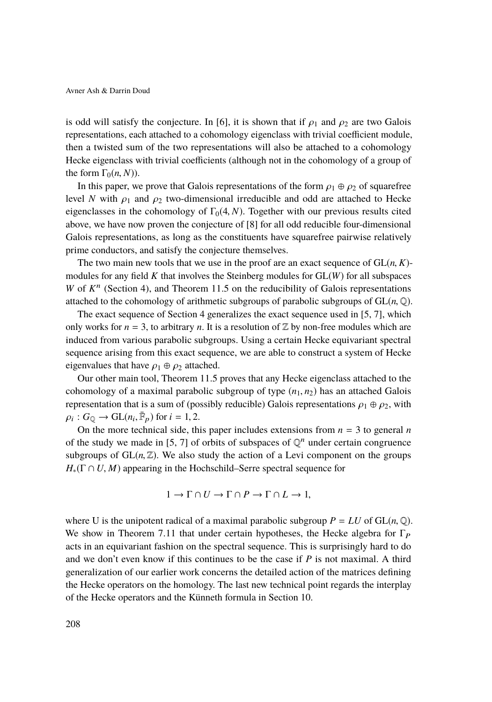is odd will satisfy the conjecture. In [\[6\]](#page-38-3), it is shown that if  $\rho_1$  and  $\rho_2$  are two Galois representations, each attached to a cohomology eigenclass with trivial coefficient module, then a twisted sum of the two representations will also be attached to a cohomology Hecke eigenclass with trivial coefficients (although not in the cohomology of a group of the form  $\Gamma_0(n, N)$ ).

In this paper, we prove that Galois representations of the form  $\rho_1 \oplus \rho_2$  of squarefree level *N* with  $\rho_1$  and  $\rho_2$  two-dimensional irreducible and odd are attached to Hecke eigenclasses in the cohomology of  $\Gamma_0(4, N)$ . Together with our previous results cited above, we have now proven the conjecture of [\[8\]](#page-38-0) for all odd reducible four-dimensional Galois representations, as long as the constituents have squarefree pairwise relatively prime conductors, and satisfy the conjecture themselves.

The two main new tools that we use in the proof are an exact sequence of  $GL(n, K)$ modules for any field *K* that involves the Steinberg modules for GL(*W*) for all subspaces *W* of  $K<sup>n</sup>$  (Section [4\)](#page-5-0), and Theorem [11.5](#page-35-0) on the reducibility of Galois representations attached to the cohomology of arithmetic subgroups of parabolic subgroups of  $GL(n, \mathbb{Q})$ .

The exact sequence of Section [4](#page-5-0) generalizes the exact sequence used in [\[5,](#page-38-2) [7\]](#page-38-4), which only works for  $n = 3$ , to arbitrary *n*. It is a resolution of  $\mathbb{Z}$  by non-free modules which are induced from various parabolic subgroups. Using a certain Hecke equivariant spectral sequence arising from this exact sequence, we are able to construct a system of Hecke eigenvalues that have  $\rho_1 \oplus \rho_2$  attached.

Our other main tool, Theorem [11.5](#page-35-0) proves that any Hecke eigenclass attached to the cohomology of a maximal parabolic subgroup of type  $(n_1, n_2)$  has an attached Galois representation that is a sum of (possibly reducible) Galois representations  $\rho_1 \oplus \rho_2$ , with  $\rho_i$ :  $G_{\mathbb{Q}} \to \text{GL}(n_i, \bar{\mathbb{F}}_p)$  for  $i = 1, 2$ .<br>On the more technical side, the

On the more technical side, this paper includes extensions from  $n = 3$  to general *n* of the study we made in [\[5,](#page-38-2) [7\]](#page-38-4) of orbits of subspaces of  $\mathbb{Q}^n$  under certain congruence subgroups of  $GL(n, \mathbb{Z})$ . We also study the action of a Levi component on the groups *<sup>H</sup>*∗(<sup>Γ</sup> <sup>∩</sup> *<sup>U</sup>*, *<sup>M</sup>*) appearing in the Hochschild–Serre spectral sequence for

$$
1 \to \Gamma \cap U \to \Gamma \cap P \to \Gamma \cap L \to 1,
$$

where U is the unipotent radical of a maximal parabolic subgroup  $P = LU$  of  $GL(n, \mathbb{Q})$ . We show in Theorem [7.11](#page-20-0) that under certain hypotheses, the Hecke algebra for  $\Gamma_P$ acts in an equivariant fashion on the spectral sequence. This is surprisingly hard to do and we don't even know if this continues to be the case if *P* is not maximal. A third generalization of our earlier work concerns the detailed action of the matrices defining the Hecke operators on the homology. The last new technical point regards the interplay of the Hecke operators and the Künneth formula in Section [10.](#page-29-0)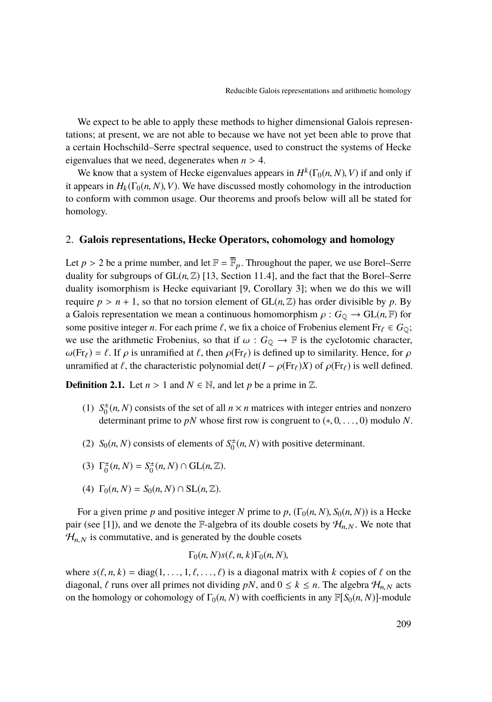We expect to be able to apply these methods to higher dimensional Galois representations; at present, we are not able to because we have not yet been able to prove that a certain Hochschild–Serre spectral sequence, used to construct the systems of Hecke eigenvalues that we need, degenerates when  $n > 4$ .

We know that a system of Hecke eigenvalues appears in  $H^k(\Gamma_0(n, N), V)$  if and only if<br>present in  $H_k(\Gamma_k(n, N), V)$ . We have discussed mostly cohomology in the introduction it appears in  $H_k(\Gamma_0(n, N), V)$ . We have discussed mostly cohomology in the introduction to conform with common usage. Our theorems and proofs below will all be stated for homology.

### 2. **Galois representations, Hecke Operators, cohomology and homology**

Let  $p > 2$  be a prime number, and let  $\mathbb{F} = \overline{\mathbb{F}}_p$ . Throughout the paper, we use Borel–Serre duality for subgroups of  $GL(n, \mathbb{Z})$  [\[13,](#page-39-7) Section 11.4], and the fact that the Borel–Serre duality isomorphism is Hecke equivariant [\[9,](#page-39-8) Corollary 3]; when we do this we will require  $p > n + 1$ , so that no torsion element of  $GL(n, \mathbb{Z})$  has order divisible by p. By a Galois representation we mean a continuous homomorphism  $\rho: G_{\mathbb{Q}} \to \text{GL}(n, \mathbb{F})$  for some positive integer *n*. For each prime  $\ell$ , we fix a choice of Frobenius element Fr $_{\ell} \in G_{\mathbb{Q}}$ ; we use the arithmetic Frobenius, so that if  $\omega : G_{\mathbb{Q}} \to \mathbb{F}$  is the cyclotomic character,  $\omega(\text{Fr}_\ell) = \ell$ . If  $\rho$  is unramified at  $\ell$ , then  $\rho(\text{Fr}_\ell)$  is defined up to similarity. Hence, for  $\rho$ unramified at  $\ell$ , the characteristic polynomial det( $I - \rho(Fr_{\ell})X$ ) of  $\rho(Fr_{\ell})$  is well defined.

**Definition 2.1.** Let  $n > 1$  and  $N \in \mathbb{N}$ , and let p be a prime in  $\mathbb{Z}$ .

- (1)  $S_0^{\pm}(n, N)$  consists of the set of all  $n \times n$  matrices with integer entries and nonzero<br>determinent prime to  $nN$  whose first row is congruent to  $(n, 0, \ldots, 0)$  modulo M determinant prime to *pN* whose first row is congruent to  $(*, 0, \ldots, 0)$  modulo *N*.
- (2) *S*<sub>0</sub>(*n*, *N*) consists of elements of *S*<sup> $+$ </sup><sub>0</sub>(*n*, *N*) with positive determinant.
- (3)  $\Gamma_0^{\pm}(n, N) = S_0^{\pm}(n, N) \cap \text{GL}(n, \mathbb{Z}).$
- (4)  $\Gamma_0(n, N) = S_0(n, N) \cap SL(n, \mathbb{Z}).$

For a given prime *p* and positive integer *N* prime to *p*,  $(\Gamma_0(n, N), S_0(n, N))$  is a Hecke pair (see [\[1\]](#page-38-5)), and we denote the F-algebra of its double cosets by  $\mathcal{H}_{n,N}$ . We note that  $\mathcal{H}_{n,N}$  is commutative, and is generated by the double cosets

$$
\Gamma_0(n, N) s(\ell, n, k) \Gamma_0(n, N),
$$

where  $s(\ell, n, k) = diag(1, \ldots, 1, \ell, \ldots, \ell)$  is a diagonal matrix with *k* copies of  $\ell$  on the diagonal,  $\ell$  runs over all primes not dividing *pN*, and  $0 \le k \le n$ . The algebra  $\mathcal{H}_{n,N}$  acts on the homology or cohomology of  $\Gamma_0(n, N)$  with coefficients in any  $\mathbb{F}[S_0(n, N)]$ -module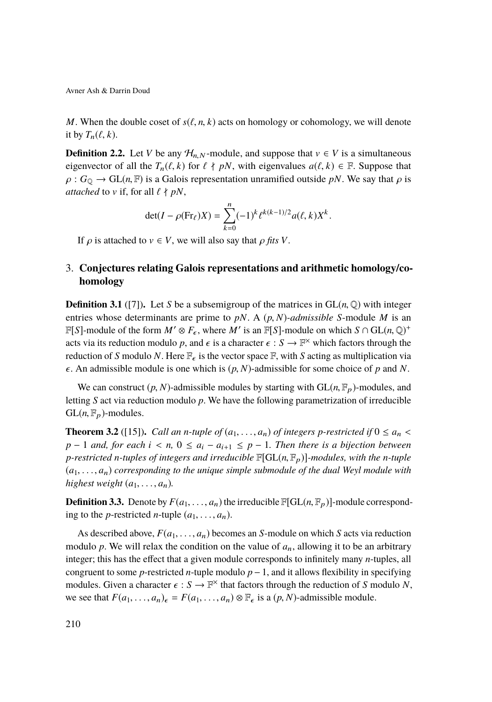*M*. When the double coset of  $s(\ell, n, k)$  acts on homology or cohomology, we will denote it by  $T_n(\ell, k)$ .

**Definition 2.2.** Let *V* be any  $\mathcal{H}_{n,N}$ -module, and suppose that  $v \in V$  is a simultaneous eigenvector of all the  $T_n(\ell, k)$  for  $\ell \nmid pN$ , with eigenvalues  $a(\ell, k) \in \mathbb{F}$ . Suppose that  $\rho: G_0 \to GL(n, \mathbb{F})$  is a Galois representation unramified outside *pN*. We say that  $\rho$  is *attached* to v if, for all  $\ell \nmid pN$ ,

$$
\det(I - \rho(\text{Fr}_{\ell})X) = \sum_{k=0}^{n} (-1)^{k} \ell^{k(k-1)/2} a(\ell, k) X^{k}.
$$

If  $\rho$  is attached to  $v \in V$ , we will also say that  $\rho$  *fits V*.

# 3. **Conjectures relating Galois representations and arithmetic homology/cohomology**

**Definition 3.1** ([\[7\]](#page-38-4)). Let *S* be a subsemigroup of the matrices in  $GL(n, \mathbb{Q})$  with integer entries whose determinants are prime to *pN*. A (*p*, *<sup>N</sup>*)*-admissible <sup>S</sup>*-module *<sup>M</sup>* is an  $\mathbb{F}[S]$ -module of the form  $M' \otimes F_{\epsilon}$ , where  $M'$  is an  $\mathbb{F}[S]$ -module on which  $S \cap GL(n, \mathbb{Q})^+$ acts via its reduction modulo *p*, and  $\epsilon$  is a character  $\epsilon$  :  $S \to \mathbb{F}^\times$  which factors through the reduction of *S* modulo *N*. Here  $\mathbb{F}_2$  is the vector space  $\mathbb{F}_2$  with *S* esting as multiplication via reduction of *S* modulo *N*. Here  $\mathbb{F}_{\epsilon}$  is the vector space  $\mathbb{F}$ , with *S* acting as multiplication via  $\epsilon$ . An admissible module is one which is  $(p, N)$ -admissible for some choice of p and N.

We can construct  $(p, N)$ -admissible modules by starting with  $GL(n, \mathbb{F}_p)$ -modules, and letting *S* act via reduction modulo *p*. We have the following parametrization of irreducible  $GL(n, \mathbb{F}_p)$ -modules.

**Theorem 3.2** ([\[15\]](#page-39-9)). *Call an n-tuple of*  $(a_1, \ldots, a_n)$  *of integers p-restricted if*  $0 \le a_n <$ *p* − 1 *and, for each*  $i < n, 0 \le a_i - a_{i+1} \le p - 1$ . Then there is a bijection between *p*-restricted *n*-tuples of integers and irreducible  $\mathbb{F}[GL(n,\mathbb{F}_p)]$ -modules, with the *n*-tuple (*a*1, . . ., *<sup>a</sup>*n) *corresponding to the unique simple submodule of the dual Weyl module with highest weight*  $(a_1, \ldots, a_n)$ *.* 

**Definition 3.3.** Denote by  $F(a_1, \ldots, a_n)$  the irreducible  $\mathbb{F}[GL(n, \mathbb{F}_p)]$ -module corresponding to the *p*-restricted *n*-tuple  $(a_1, \ldots, a_n)$ .

As described above,  $F(a_1, \ldots, a_n)$  becomes an *S*-module on which *S* acts via reduction modulo  $p$ . We will relax the condition on the value of  $a_n$ , allowing it to be an arbitrary integer; this has the effect that a given module corresponds to infinitely many *n*-tuples, all congruent to some *p*-restricted *n*-tuple modulo  $p-1$ , and it allows flexibility in specifying modules. Given a character  $\epsilon : S \to \mathbb{F}^\times$  that factors through the reduction of *S* modulo *N*,<br>we see that  $F(a_1, a_2) = F(a_2, a_3) \otimes \mathbb{F}$  is a  $(a_1, b_1)$  edmissible module we see that  $F(a_1, \ldots, a_n)_{\epsilon} = F(a_1, \ldots, a_n) \otimes \mathbb{F}_{\epsilon}$  is a  $(p, N)$ -admissible module.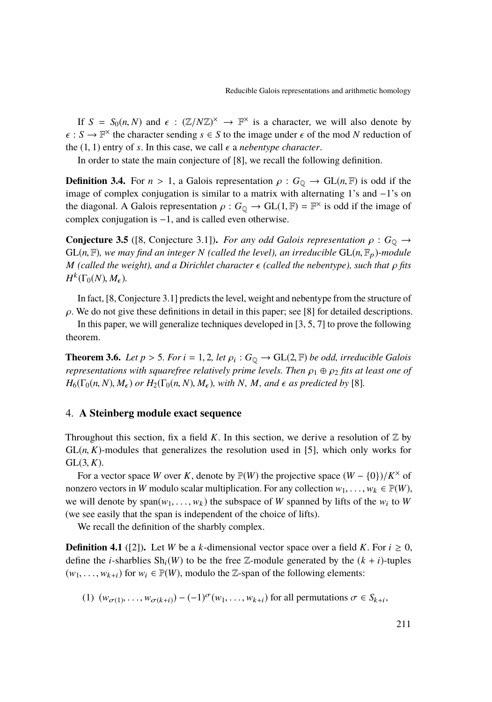If  $S = S_0(n, N)$  and  $\epsilon : (\mathbb{Z}/N\mathbb{Z})^{\times} \to \mathbb{F}^{\times}$  is a character, we will also denote by<br> $S \to \mathbb{F}^{\times}$  the character sending  $\epsilon \in S$  to the image under  $\epsilon$  of the mod N reduction of  $\epsilon : S \to \mathbb{F}^\times$  the character sending  $s \in S$  to the image under  $\epsilon$  of the mod *N* reduction of the (1,1) ontry of  $s$ . In this case, we call  $\epsilon$  a nebenture character. the  $(1, 1)$  entry of *s*. In this case, we call  $\epsilon$  a *nebentype character*.

In order to state the main conjecture of [\[8\]](#page-38-0), we recall the following definition.

**Definition 3.4.** For  $n > 1$ , a Galois representation  $\rho : G_{\mathbb{Q}} \to GL(n, \mathbb{F})$  is odd if the image of complex conjugation is similar to a matrix with alternating 1's and −1's on the diagonal. A Galois representation  $\rho$ :  $G_Q \to GL(1, \mathbb{F}) = \mathbb{F}^\times$  is odd if the image of complex conjugation is 1 and is called even otherwise. complex conjugation is −1, and is called even otherwise.

**Conjecture 3.5** ([\[8,](#page-38-0) Conjecture 3.1]). *For any odd Galois representation*  $\rho : G_0 \rightarrow$  $GL(n, \mathbb{F})$ *, we may find an integer N (called the level), an irreducible*  $GL(n, \mathbb{F}_p)$ *-module M* (called the weight), and a Dirichlet character  $\epsilon$  (called the nebentype), such that  $\rho$  fits  $H^k(\Gamma_0(N), M_\epsilon)$ .

In fact, [\[8,](#page-38-0) Conjecture 3.1] predicts the level, weight and nebentype from the structure of  $\rho$ . We do not give these definitions in detail in this paper; see [\[8\]](#page-38-0) for detailed descriptions.

In this paper, we will generalize techniques developed in [\[3,](#page-38-1) [5,](#page-38-2) [7\]](#page-38-4) to prove the following theorem.

**Theorem 3.6.** *Let*  $p > 5$ *. For*  $i = 1, 2$ *, let*  $\rho_i : G_Q \to GL(2, \mathbb{F})$  *be odd, irreducible Galois*<br>representations with squarefree relatively prime levels. Then  $\alpha, \beta$  or fits at least one of *representations with squarefree relatively prime levels. Then*  $\rho_1 \oplus \rho_2$  *fits at least one of*  $H_6(\Gamma_0(n, N), M_\epsilon)$  *or*  $H_2(\Gamma_0(n, N), M_\epsilon)$ *, with N, M<sub>r</sub> and*  $\epsilon$  *as predicted by* [\[8\]](#page-38-0)*.* 

### <span id="page-5-0"></span>4. **A Steinberg module exact sequence**

Throughout this section, fix a field *K*. In this section, we derive a resolution of  $\mathbb{Z}$  by  $GL(n, K)$ -modules that generalizes the resolution used in [\[5\]](#page-38-2), which only works for  $GL(3, K)$ .

For a vector space *W* over *K*, denote by  $\mathbb{P}(W)$  the projective space  $(W - \{0\})/K^{\times}$  of nonzero vectors in *W* modulo scalar multiplication. For any collection  $w_1, \ldots, w_k \in \mathbb{P}(W)$ , we will denote by span( $w_1, \ldots, w_k$ ) the subspace of *W* spanned by lifts of the  $w_i$  to *W* (we see easily that the span is independent of the choice of lifts) (we see easily that the span is independent of the choice of lifts).

We recall the definition of the sharbly complex.

**Definition 4.1** ([\[2\]](#page-38-6)). Let *W* be a *k*-dimensional vector space over a field *K*. For  $i \ge 0$ , define the *i*-sharblies  $\text{Sh}_{i}(W)$  to be the free Z-module generated by the  $(k + i)$ -tuples  $(w_1, \ldots, w_{k+i})$  for  $w_i \in \mathbb{P}(W)$ , modulo the Z-span of the following elements:

<span id="page-5-1"></span>(1)  $(w_{\sigma(1)},..., w_{\sigma(k+i)}) - (-1)^{\sigma}(w_1,..., w_{k+i})$  for all permutations  $\sigma \in S_{k+i}$ ,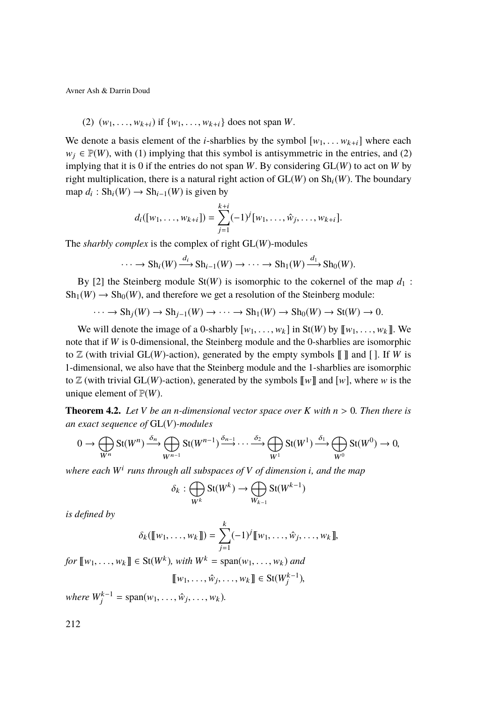<span id="page-6-0"></span>(2) 
$$
(w_1, ..., w_{k+i})
$$
 if  $\{w_1, ..., w_{k+i}\}$  does not span W.

We denote a basis element of the *i*-sharblies by the symbol  $[w_1, \ldots w_{k+i}]$  where each  $w_j \in \mathbb{P}(W)$ , with [\(1\)](#page-5-1) implying that this symbol is antisymmetric in the entries, and [\(2\)](#page-6-0) implying that it is 0 if the entries do not span *W*. By considering GL(*W*) to act on *W* by right multiplication, there is a natural right action of  $GL(W)$  on  $Sh<sub>i</sub>(W)$ . The boundary map  $d_i: Sh_i(W) \to Sh_{i-1}(W)$  is given by

$$
d_i([w_1,\ldots,w_{k+i}])=\sum_{j=1}^{k+i}(-1)^j[w_1,\ldots,\hat{w}_j,\ldots,w_{k+i}].
$$

The *sharbly complex* is the complex of right GL(*W*)-modules

$$
\cdots \longrightarrow Sh_i(W) \xrightarrow{d_i} Sh_{i-1}(W) \longrightarrow \cdots \longrightarrow Sh_1(W) \xrightarrow{d_1} Sh_0(W).
$$

By [\[2\]](#page-38-6) the Steinberg module  $St(W)$  is isomorphic to the cokernel of the map  $d_1$ :  $\mathrm{Sh}_1(W) \to \mathrm{Sh}_0(W)$ , and therefore we get a resolution of the Steinberg module:

$$
\cdots \to Sh_j(W) \to Sh_{j-1}(W) \to \cdots \to Sh_1(W) \to Sh_0(W) \to St(W) \to 0.
$$

We will denote the image of a 0-sharbly  $[w_1, \ldots, w_k]$  in St(*W*) by  $[[w_1, \ldots, w_k]]$ . We note that if *W* is 0-dimensional, the Steinberg module and the 0-sharblies are isomorphic to  $\mathbb Z$  (with trivial GL(*W*)-action), generated by the empty symbols  $\llbracket \rrbracket$  and  $\llbracket \cdot \rrbracket$ . If *W* is 1-dimensional, we also have that the Steinberg module and the 1-sharblies are isomorphic to  $\mathbb Z$  (with trivial GL(*W*)-action), generated by the symbols  $\llbracket w \rrbracket$  and  $\llbracket w \rrbracket$ , where w is the unique element of  $\mathbb{P}(W)$ .

<span id="page-6-1"></span>**Theorem 4.2.** Let V be an *n*-dimensional vector space over K with  $n > 0$ . Then there is *an exact sequence of* GL(*V*)*-modules*

$$
0 \to \bigoplus_{W^n} \text{St}(W^n) \xrightarrow{\delta_n} \bigoplus_{W^{n-1}} \text{St}(W^{n-1}) \xrightarrow{\delta_{n-1}} \cdots \xrightarrow{\delta_2} \bigoplus_{W^1} \text{St}(W^1) \xrightarrow{\delta_1} \bigoplus_{W^0} \text{St}(W^0) \to 0,
$$

*where each W*<sup>i</sup> *runs through all subspaces of V of dimension i, and the map*

$$
\delta_k : \bigoplus_{W^k} \operatorname{St}(W^k) \to \bigoplus_{W_{k-1}} \operatorname{St}(W^{k-1})
$$

*is defined by*

$$
\delta_k([\![w_1,\ldots,w_k]\!]) = \sum_{j=1}^k (-1)^j [\![w_1,\ldots,\hat{w}_j,\ldots,w_k]\!],
$$

*for*  $[[w_1, ..., w_k]] \in St(W^k)$ , *with*  $W^k = span(w_1, ..., w_k)$  *and* 

$$
[\![w_1,\ldots,\hat{w}_j,\ldots,w_k]\!]\in \text{St}(W_j^{k-1}),
$$

*where*  $W_j^{k-1} = \text{span}(w_1, ..., \hat{w}_j, ..., w_k)$ *.*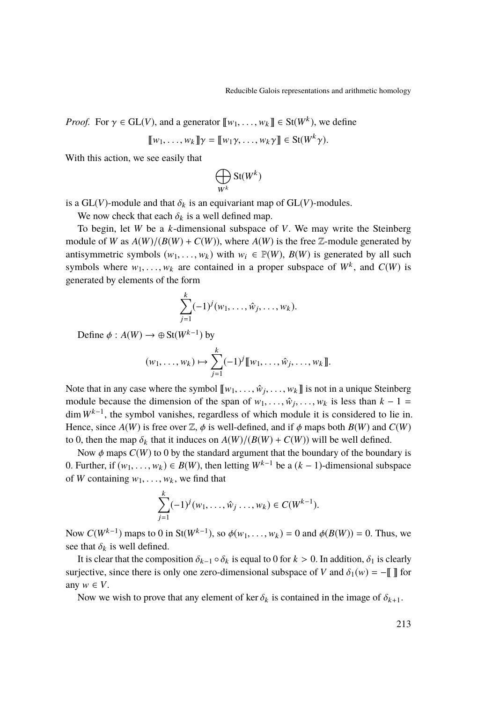*Proof.* For  $\gamma \in GL(V)$ , and a generator  $[\![w_1, \ldots, w_k]\!] \in St(W^k)$ , we define

$$
[\![w_1,\ldots,w_k]\!] \gamma = [\![w_1\gamma,\ldots,w_k\gamma]\!] \in \mathrm{St}(W^k \gamma).
$$

With this action, we see easily that

$$
\bigoplus_{W^k} \operatorname{St}(W^k)
$$

is a  $GL(V)$ -module and that  $\delta_k$  is an equivariant map of  $GL(V)$ -modules.

We now check that each  $\delta_k$  is a well defined map.

To begin, let *W* be a *k*-dimensional subspace of *V*. We may write the Steinberg module of *W* as  $A(W)/(B(W) + C(W))$ , where  $A(W)$  is the free Z-module generated by antisymmetric symbols  $(w_1, \ldots, w_k)$  with  $w_i \in \mathbb{P}(W)$ ,  $B(W)$  is generated by all such symbols where  $w_1, \ldots, w_k$  are contained in a proper subspace of  $W^k$ , and  $C(W)$  is concreted by elements of the form generated by elements of the form

$$
\sum_{j=1}^{k}(-1)^{j}(w_{1},\ldots,\hat{w}_{j},\ldots,w_{k}).
$$

Define  $\phi: A(W) \to \oplus \text{St}(W^{k-1})$  by

$$
(w_1, ..., w_k) \mapsto \sum_{j=1}^k (-1)^j [\![w_1, ..., \hat{w}_j, ..., w_k]\!].
$$

Note that in any case where the symbol  $[\![w_1, \ldots, \hat{w}_j, \ldots, w_k]\!]$  is not in a unique Steinberg module because the dimension of the group of  $w_i$ ,  $\hat{w}_i$ ,  $w_i$  is loss than  $k - 1$ module because the dimension of the span of  $w_1, \ldots, \hat{w}_j, \ldots, w_k$  is less than  $k - 1 =$ <br>dim  $W^{k-1}$  the symbol vanishes regardless of which module it is considered to lie in dim *W*k−<sup>1</sup> , the symbol vanishes, regardless of which module it is considered to lie in. Hence, since  $A(W)$  is free over  $\mathbb{Z}$ ,  $\phi$  is well-defined, and if  $\phi$  maps both  $B(W)$  and  $C(W)$ to 0, then the map  $\delta_k$  that it induces on  $A(W)/(B(W) + C(W))$  will be well defined.

Now  $\phi$  maps  $C(W)$  to 0 by the standard argument that the boundary of the boundary is 0. Further, if  $(w_1, \ldots, w_k)$  ∈ *B*(*W*), then letting  $W^{k-1}$  be a  $(k-1)$ -dimensional subspace of *W* containing  $w_1, \ldots, w_k$ , we find that

$$
\sum_{j=1}^k (-1)^j (w_1, \ldots, \hat{w}_j \ldots, w_k) \in C(W^{k-1}).
$$

Now  $C(W^{k-1})$  maps to 0 in St( $W^{k-1}$ ), so  $\phi(w_1, \ldots, w_k) = 0$  and  $\phi(B(W)) = 0$ . Thus, we see that  $\delta_k$  is well defined.

It is clear that the composition  $\delta_{k-1} \circ \delta_k$  is equal to 0 for  $k > 0$ . In addition,  $\delta_1$  is clearly surjective, since there is only one zero-dimensional subspace of *V* and  $\delta_1(w) = -\|\cdot\|$  for any  $w \in V$ .

Now we wish to prove that any element of ker  $\delta_k$  is contained in the image of  $\delta_{k+1}$ .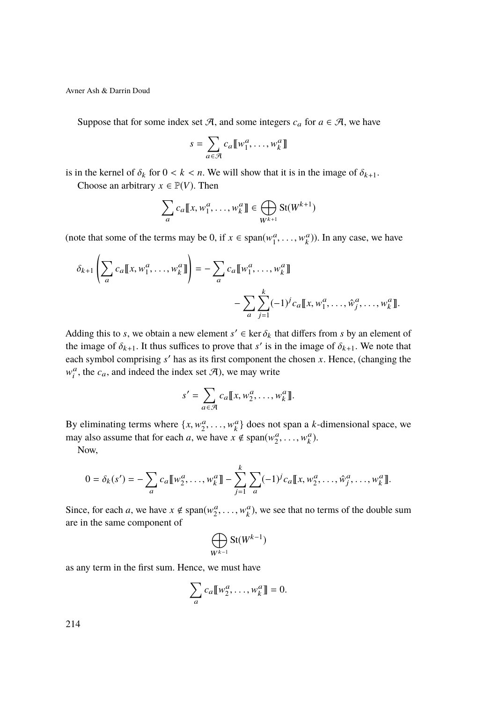Suppose that for some index set A, and some integers  $c_a$  for  $a \in A$ , we have

$$
s = \sum_{a \in \mathcal{A}} c_a \llbracket w_1^a, \dots, w_k^a \rrbracket
$$

is in the kernel of  $\delta_k$  for  $0 < k < n$ . We will show that it is in the image of  $\delta_{k+1}$ .

Choose an arbitrary  $x \in \mathbb{P}(V)$ . Then

$$
\sum_{a} c_a \llbracket x, w_1^a, \dots, w_k^a \rrbracket \in \bigoplus_{W^{k+1}} \text{St}(W^{k+1})
$$

(note that some of the terms may be 0, if  $x \in \text{span}(w_1^a, \dots, w_k^a)$ ). In any case, we have

$$
\delta_{k+1} \left( \sum_{a} c_a \llbracket x, w_1^a, \dots, w_k^a \rrbracket \right) = - \sum_{a} c_a \llbracket w_1^a, \dots, w_k^a \rrbracket
$$

$$
- \sum_{a} \sum_{j=1}^k (-1)^j c_a \llbracket x, w_1^a, \dots, \hat{w}_j^a, \dots, w_k^a \rrbracket.
$$

Adding this to *s*, we obtain a new element  $s' \in \ker \delta_k$  that differs from *s* by an element of the image of  $\delta_k$ . It thus suffices to prove that  $s'$  is in the image of  $\delta_k$ . We note that the image of  $\delta_{k+1}$ . It thus suffices to prove that *s'* is in the image of  $\delta_{k+1}$ . We note that each symbol comprising  $s'$  has as its first component the chosen  $x$ . Hence, (changing the  $w_i^a$ , the  $c_a$ , and indeed the index set  $\mathcal{A}$ ), we may write

$$
s' = \sum_{a \in \mathcal{A}} c_a \llbracket x, w_2^a, \dots, w_k^a \rrbracket.
$$

By eliminating terms where  $\{x, w_2^a, \ldots, w_k^a\}$  does not span a *k*-dimensional space, we may also assume that for each a we have  $x \notin \text{cusp}(w_1^a, \ldots, w_n^a)$ may also assume that for each *a*, we have  $x \notin \text{span}(w_2^a, \dots, w_k^a)$ .

Now,

$$
0 = \delta_k(s') = -\sum_a c_a [\![w_2^a, \dots, w_k^a]\!] - \sum_{j=1}^k \sum_a (-1)^j c_a [\![x, w_2^a, \dots, \hat{w}_j^a, \dots, w_k^a]\!].
$$

Since, for each *a*, we have  $x \notin \text{span}(w_2^a, \dots, w_k^a)$ , we see that no terms of the double sum are in the same component of

$$
\bigoplus_{W^{k-1}}\operatorname{St}(W^{k-1})
$$

as any term in the first sum. Hence, we must have

$$
\sum_a c_a \llbracket w_2^a, \dots, w_k^a \rrbracket = 0.
$$

214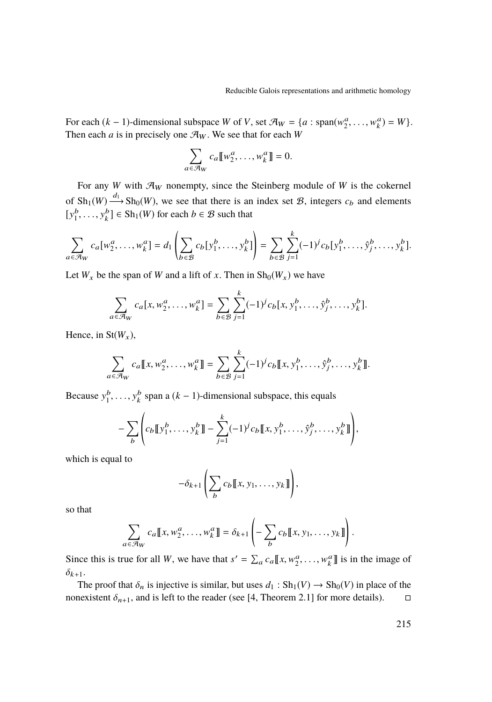For each  $(k-1)$ -dimensional subspace *W* of *V*, set  $\mathcal{A}_W = \{a : \text{span}(w_2^a, \dots, w_k^a) = W\}$ .<br>Then each *a* is in procisely one  $\mathcal{A}_W$ . We see that for each *W*. Then each *a* is in precisely one  $\mathcal{A}_W$ . We see that for each *W* 

$$
\sum_{a \in \mathcal{A}_W} c_a \llbracket w_2^a, \dots, w_k^a \rrbracket = 0.
$$

For any *W* with  $\mathcal{A}_W$  nonempty, since the Steinberg module of *W* is the cokernel of  $\mathrm{Sh}_1(W) \xrightarrow{d_1} \mathrm{Sh}_0(W)$ , we see that there is an index set  $\mathcal{B}$ , integers  $c_b$  and elements  $[y_1^b, \ldots, y_k^b] \in \text{Sh}_1(W)$  for each  $b \in \mathcal{B}$  such that

$$
\sum_{a \in \mathcal{A}_W} c_a[w_2^a, \dots, w_k^a] = d_1 \left( \sum_{b \in \mathcal{B}} c_b[y_1^b, \dots, y_k^b] \right) = \sum_{b \in \mathcal{B}} \sum_{j=1}^k (-1)^j c_b[y_1^b, \dots, \hat{y}_j^b, \dots, y_k^b].
$$

Let  $W_x$  be the span of *W* and a lift of *x*. Then in  $\text{Sh}_0(W_x)$  we have

$$
\sum_{a \in \mathcal{A}_W} c_a[x, w_2^a, \dots, w_k^a] = \sum_{b \in \mathcal{B}} \sum_{j=1}^k (-1)^j c_b[x, y_1^b, \dots, \hat{y}_j^b, \dots, y_k^b].
$$

Hence, in  $St(W_x)$ ,

$$
\sum_{a \in \mathcal{A}_W} c_a \llbracket x, w_2^a, \dots, w_k^a \rrbracket = \sum_{b \in \mathcal{B}} \sum_{j=1}^k (-1)^j c_b \llbracket x, y_1^b, \dots, \hat{y}_j^b, \dots, y_k^b \rrbracket.
$$

Because  $y_1^b, \ldots, y_k^b$  span a  $(k-1)$ -dimensional subspace, this equals

$$
- \sum_{b} \left( c_b \llbracket y_1^b, \ldots, y_k^b \rrbracket - \sum_{j=1}^k (-1)^j c_b \llbracket x, y_1^b, \ldots, \hat{y}_j^b, \ldots, y_k^b \rrbracket \right),
$$

which is equal to

$$
-\delta_{k+1}\left(\sum_{b}c_b\llbracket x,y_1,\ldots,y_k\rrbracket\right),\,
$$

so that

$$
\sum_{a \in \mathcal{A}_W} c_a \llbracket x, w_2^a, \dots, w_k^a \rrbracket = \delta_{k+1} \left( - \sum_b c_b \llbracket x, y_1, \dots, y_k \rrbracket \right)
$$

Since this is true for all *W*, we have that  $s' = \sum_a c_a \llbracket x, w_2^a, \dots, w_k^a \rrbracket$  is in the image of  $\delta_{k+1}$ .

The proof that  $\delta_n$  is injective is similar, but uses  $d_1 : Sh_1(V) \to Sh_0(V)$  in place of the nexistent  $\delta_{n+1}$ , and is left to the reader (see [4, Theorem 2.1] for more details). nonexistent  $\delta_{n+1}$ , and is left to the reader (see [\[4,](#page-38-7) Theorem 2.1] for more details).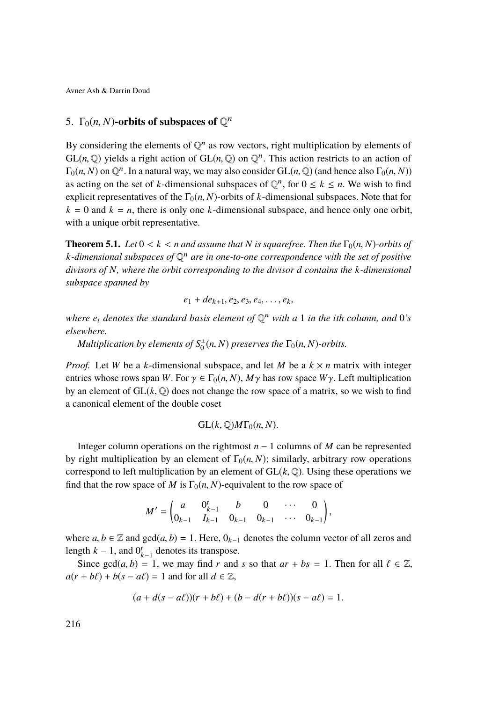# <span id="page-10-0"></span>5.  $\Gamma_0(n, N)$ -orbits of subspaces of  $\mathbb{Q}^n$

By considering the elements of  $\mathbb{Q}^n$  as row vectors, right multiplication by elements of  $GL(n, \mathbb{Q})$  yields a right action of  $GL(n, \mathbb{Q})$  on  $\mathbb{Q}^n$ . This action restricts to an action of  $E_n(n, N)$  on  $\mathbb{Q}^n$ . In a natural way we may also consider  $GL(n, \mathbb{Q})$  (and hence also  $E_n(n, N)$ )  $\Gamma_0(n, N)$  on  $\mathbb{Q}^n$ . In a natural way, we may also consider  $GL(n, \mathbb{Q})$  (and hence also  $\Gamma_0(n, N)$ )<br>as acting on the set of k dimensional subspaces of  $\mathbb{Q}^n$ , for  $0 \le k \le n$ . We wish to find as acting on the set of *k*-dimensional subspaces of  $\mathbb{Q}^n$ , for  $0 \le k \le n$ . We wish to find explicit representatives of the  $\Gamma_0(n, N)$ -orbits of *k*-dimensional subspaces. Note that for  $k = 0$  and  $k = n$ , there is only one *k*-dimensional subspace, and hence only one orbit, with a unique orbit representative.

**Theorem 5.1.** *Let*  $0 < k < n$  *and assume that N is squarefree. Then the*  $\Gamma_0(n, N)$ *-orbits of k-dimensional subspaces of* Q <sup>n</sup> *are in one-to-one correspondence with the set of positive divisors of N, where the orbit corresponding to the divisor d contains the k-dimensional subspace spanned by*

$$
e_1 + de_{k+1}, e_2, e_3, e_4, \ldots, e_k,
$$

*where e*<sup>i</sup> *denotes the standard basis element of* Q <sup>n</sup> *with a* 1 *in the ith column, and* 0*'s elsewhere.*

 $Multiplication by elements of  $S_0^{\pm}(n, N)$  preserves the  $\Gamma_0(n, N)$ -orbits.$ 

*Proof.* Let *W* be a *k*-dimensional subspace, and let *M* be a  $k \times n$  matrix with integer entries whose rows span *W*. For  $\gamma \in \Gamma_0(n, N)$ ,  $M\gamma$  has row space  $W\gamma$ . Left multiplication by an element of  $GL(k, \mathbb{Q})$  does not change the row space of a matrix, so we wish to find a canonical element of the double coset

$$
GL(k, \mathbb{Q})M\Gamma_0(n, N).
$$

Integer column operations on the rightmost *n* − 1 columns of *M* can be represented by right multiplication by an element of  $\Gamma_0(n, N)$ ; similarly, arbitrary row operations correspond to left multiplication by an element of  $GL(k, \mathbb{Q})$ . Using these operations we find that the row space of *M* is  $\Gamma_0(n, N)$ -equivalent to the row space of

$$
M'=\begin{pmatrix} a & 0^t_{k-1} & b & 0 & \cdots & 0 \\ 0_{k-1} & I_{k-1} & 0_{k-1} & 0_{k-1} & \cdots & 0_{k-1} \end{pmatrix},
$$

where  $a, b \in \mathbb{Z}$  and  $gcd(a, b) = 1$ . Here,  $0_{k-1}$  denotes the column vector of all zeros and length  $k - 1$ , and  $0^t_{k-1}$  denotes its transpose.

Since gcd $(a, b) = 1$ , we may find *r* and *s* so that  $ar + bs = 1$ . Then for all  $l \in \mathbb{Z}$ ,  $a(r + b\ell) + b(s - a\ell) = 1$  and for all  $d \in \mathbb{Z}$ ,

$$
(a + d(s - a\ell))(r + b\ell) + (b - d(r + b\ell))(s - a\ell) = 1.
$$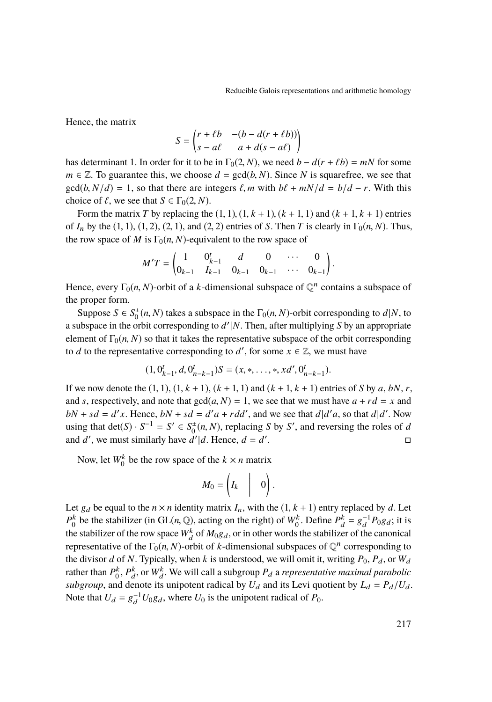Hence, the matrix

$$
S = \begin{pmatrix} r + \ell b & -(b - d(r + \ell b)) \\ s - a\ell & a + d(s - a\ell) \end{pmatrix}
$$

has determinant 1. In order for it to be in  $\Gamma_0(2, N)$ , we need  $b - d(r + \ell b) = mN$  for some  $m \in \mathbb{Z}$ . To suggestive this we shoose  $d = \text{gcd}(b, N)$ . Since N is source free, we see that  $m \in \mathbb{Z}$ . To guarantee this, we choose  $d = \text{gcd}(b, N)$ . Since *N* is squarefree, we see that  $gcd(b, N/d) = 1$ , so that there are integers  $\ell$ , *m* with  $b\ell + mN/d = b/d - r$ . With this choice of  $\ell$ , we see that  $S \in \Gamma_0(2, N)$ .

Form the matrix *T* by replacing the  $(1, 1)$ ,  $(1, k + 1)$ ,  $(k + 1, 1)$  and  $(k + 1, k + 1)$  entries of  $I_n$  by the (1, 1), (1, 2), (2, 1), and (2, 2) entries of *S*. Then *T* is clearly in  $\Gamma_0(n, N)$ . Thus, the row space of *M* is  $\Gamma_0(n, N)$ -equivalent to the row space of

$$
M'T = \begin{pmatrix} 1 & 0_{k-1}^t & d & 0 & \cdots & 0 \\ 0_{k-1} & I_{k-1} & 0_{k-1} & 0_{k-1} & \cdots & 0_{k-1} \end{pmatrix}
$$

Hence, every  $\Gamma_0(n, N)$ -orbit of a *k*-dimensional subspace of  $\mathbb{Q}^n$  contains a subspace of the proper form the proper form.

Suppose  $S \in S_0^{\pm}(n, N)$  takes a subspace in the  $\Gamma_0(n, N)$ -orbit corresponding to *d*|*N*, to whenever in the orbit corresponding to *d*'/*N*. Then, ofter multiplying *S* by an appropriate a subspace in the orbit corresponding to  $d'|N$ . Then, after multiplying *S* by an appropriate element of  $\Gamma_0(n, N)$  so that it takes the representative subspace of the orbit corresponding to *d* to the representative corresponding to *d'*, for some  $x \in \mathbb{Z}$ , we must have

$$
(1, 0_{k-1}^t, d, 0_{n-k-1}^t)S = (x, \ast, \dots, \ast, xd', 0_{n-k-1}^t).
$$

If we now denote the  $(1, 1)$ ,  $(1, k + 1)$ ,  $(k + 1, 1)$  and  $(k + 1, k + 1)$  entries of *S* by *a*, *bN*, *r*, and *s*, respectively, and note that  $gcd(a, N) = 1$ , we see that we must have  $a + rd = x$  and  $bN + sd = d'x$ . Hence,  $bN + sd = d'a + rdd'$ , and we see that  $d|d'a$ , so that  $d|d'$ . Now using that det(*S*) ·  $S^{-1} = S' \in S_0^{\pm}(n, N)$ , replacing *S* by *S'*, and reversing the roles of *d*<br>and *d'*, we must similarly have *d'*|*d* Hance  $d = d'$ . and  $d'$ , we must similarly have  $d'|d$ . Hence,  $d = d'$ .

Now, let  $W_0^k$  be the row space of the  $k \times n$  matrix

$$
M_0=\left(\begin{matrix}I_k&|&0\end{matrix}\right).
$$

Let  $g_d$  be equal to the  $n \times n$  identity matrix  $I_n$ , with the  $(1, k + 1)$  entry replaced by  $d$ . Let  $P_0^k$  be the stabilizer (in GL(*n*, Q), acting on the right) of  $W_0^k$ . Define  $P_d^k = g_d^{-1}P_0g_d$ ; it is<br>the stabilizer of the row space  $W_0^k$  of *M*,  $g$ , or in other words the stabilizer of the conomical the stabilizer of the row space  $W_d^k$  of  $M_0g_d$ , or in other words the stabilizer of the canonical representative of the  $\Gamma_0(n, N)$ -orbit of *k*-dimensional subspaces of  $\mathbb{Q}^n$  corresponding to the divisor *d* of *N*. Typically, when *k* is understood, we will omit it writing *B*, *B*, or *W*, the divisor *d* of *N*. Typically, when *k* is understood, we will omit it, writing  $P_0$ ,  $P_d$ , or  $W_d$ rather than  $P_0^k$ ,  $P_d^k$ , or  $W_d^k$ . We will call a subgroup  $P_d$  a *representative maximal parabolic subgroup*, and denote its unipotent radical by  $U_d$  and its Levi quotient by  $L_d = P_d/U_d$ . Note that  $U_d = g_d^{-1} U_0 g_d$ , where  $U_0$  is the unipotent radical of  $P_0$ .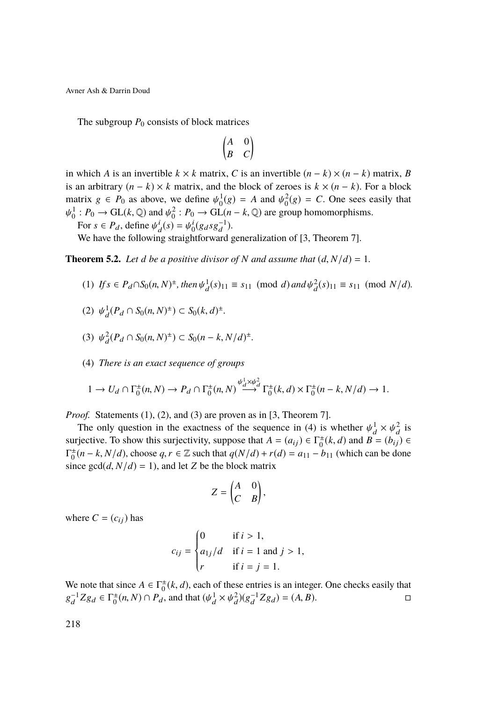The subgroup  $P_0$  consists of block matrices

$$
\begin{pmatrix} A & 0 \\ B & C \end{pmatrix}
$$

in which *A* is an invertible  $k \times k$  matrix, *C* is an invertible  $(n - k) \times (n - k)$  matrix, *B* is an arbitrary  $(n - k) \times k$  matrix, and the block of zeroes is  $k \times (n - k)$ . For a block matrix  $g \in P_0$  as above, we define  $\psi_0^1(g) = A$  and  $\psi_0^2(g) = C$ . One sees easily that ψ  $\frac{1}{2}$  : *P*<sub>0</sub> → GL(*k*, ℚ) and  $\psi_0^2$  : *P*<sub>0</sub> → GL(*n* − *k*, ℚ) are group homomorphisms.

For  $s \in P_d$ , define  $\psi_d^i(s) = \psi_0^i(g_d s g_d^{-1})$ .<br>We have the following straightforward

We have the following straightforward generalization of [\[3,](#page-38-1) Theorem 7].

<span id="page-12-4"></span><span id="page-12-0"></span>**Theorem 5.2.** Let *d be a positive divisor of N and assume that*  $(d, N/d) = 1$ *.* 

 $(f) \text{ If } s \in P_d \cap S_0(n, N)^{\pm}, \text{ then } \psi_d^1(s)_{11} \equiv s_{11} \pmod{d} \text{ and } \psi_d^2(s)_{11} \equiv s_{11} \pmod{N/d}.$ 

<span id="page-12-1"></span>(2) 
$$
\psi_d^1(P_d \cap S_0(n, N)^{\pm}) \subset S_0(k, d)^{\pm}
$$
.

<span id="page-12-2"></span>(3)  $\psi_d^2(P_d \cap S_0(n, N)^{\pm}) \subset S_0(n - k, N/d)^{\pm}.$ 

<span id="page-12-3"></span>(4) *There is an exact sequence of groups*

$$
1 \to U_d \cap \Gamma_0^{\pm}(n, N) \to P_d \cap \Gamma_0^{\pm}(n, N) \stackrel{\psi_d^1 \times \psi_d^2}{\longrightarrow} \Gamma_0^{\pm}(k, d) \times \Gamma_0^{\pm}(n - k, N/d) \to 1.
$$

*Proof.* Statements [\(1\)](#page-12-0), [\(2\)](#page-12-1), and [\(3\)](#page-12-2) are proven as in [\[3,](#page-38-1) Theorem 7].

The only question in the exactness of the sequence in [\(4\)](#page-12-3) is whether  $\psi_d^1 \times \psi_d^2$  is increased that  $A = (a_1) \in \Gamma^{\pm}(k, d)$  and  $B = (b_1) \in \Gamma^{\pm}(k, d)$ surjective. To show this surjectivity, suppose that  $A = (a_{ij}) \in \Gamma^{\pm}_{\sigma}(k, d)$  and  $B = (b_{ij}) \in \Gamma^{\pm}(\mu, k, N/d)$  choose  $a, r \in \mathbb{Z}$  such that  $a(N/d) + r(d) = a_{1,k}$  (which can be done  $\Gamma_0^+(n-k, N/d)$ , choose  $q, r \in \mathbb{Z}$  such that  $q(N/d) + r(d) = a_{11} - b_{11}$  (which can be done<br>since  $\gcd(d, N/d) - 1$ ) and let Z be the block metrix since  $gcd(d, N/d) = 1$ , and let *Z* be the block matrix

$$
Z = \begin{pmatrix} A & 0 \\ C & B \end{pmatrix},
$$

where  $C = (c_{ij})$  has

$$
c_{ij} = \begin{cases} 0 & \text{if } i > 1, \\ a_{1j}/d & \text{if } i = 1 \text{ and } j > 1, \\ r & \text{if } i = j = 1. \end{cases}
$$

We note that since  $A \in \Gamma_0^{\pm}(k, d)$ , each of these entries is an integer. One checks easily that  $\Gamma_0^{-1}Z_{\infty} \subset \Gamma^{\pm}(\infty, M) \cap B_{\infty}$  and that  $(\ell_0^{\pm} \times \ell_0^{\pm 2})(\sigma^{-1}Z_{\infty}) = (A, B)$  $g_d^{-1}Zg_d \in \Gamma_0^{\pm}(n, N) \cap P_d$ , and that  $(\psi_d^1 \times \psi_d^2)(g_d^{-1}Zg_d) = (A, B)$ .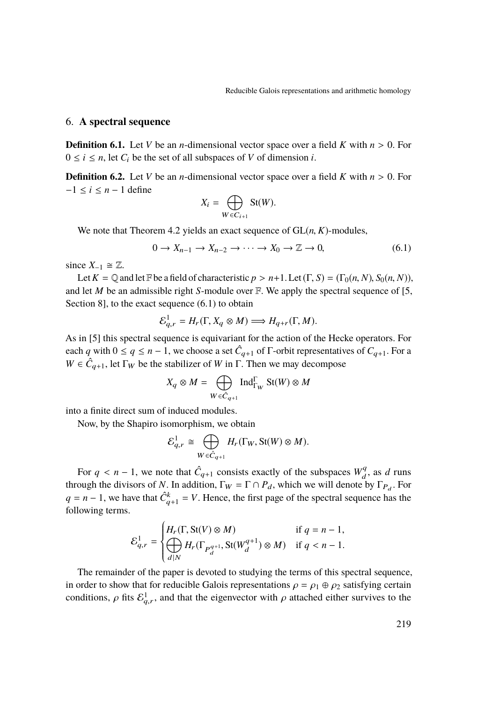### <span id="page-13-1"></span>6. **A spectral sequence**

**Definition 6.1.** Let *V* be an *n*-dimensional vector space over a field *K* with  $n > 0$ . For  $0 \le i \le n$ , let  $C_i$  be the set of all subspaces of *V* of dimension *i*.

**Definition 6.2.** Let *V* be an *n*-dimensional vector space over a field *K* with  $n > 0$ . For  $-1 \leq i \leq n-1$  define

$$
X_i = \bigoplus_{W \in C_{i+1}} \operatorname{St}(W).
$$

We note that Theorem [4.2](#page-6-1) yields an exact sequence of GL(*n*, *<sup>K</sup>*)-modules,

<span id="page-13-0"></span>
$$
0 \to X_{n-1} \to X_{n-2} \to \cdots \to X_0 \to \mathbb{Z} \to 0,
$$
\n
$$
(6.1)
$$

since  $X_{-1} \cong \mathbb{Z}$ .

Let  $K = \mathbb{Q}$  and let  $\mathbb{F}$  be a field of characteristic  $p > n+1$ . Let  $(\Gamma, S) = (\Gamma_0(n, N), S_0(n, N))$ , and let *M* be an admissible right *S*-module over F. We apply the spectral sequence of [\[5,](#page-38-2) Section 8], to the exact sequence  $(6.1)$  to obtain

$$
\mathcal{E}_{q,r}^1 = H_r(\Gamma, X_q \otimes M) \Longrightarrow H_{q+r}(\Gamma, M).
$$

As in [\[5\]](#page-38-2) this spectral sequence is equivariant for the action of the Hecke operators. For each *q* with  $0 \le q \le n - 1$ , we choose a set  $\hat{C}_{q+1}$  of  $\Gamma$ -orbit representatives of  $C_{q+1}$ . For a *W*  $\in$   $\hat{C}_{q+1}$ , let Γ<sub>*W*</sub> be the stabilizer of *W* in Γ. Then we may decompose

$$
X_q \otimes M = \bigoplus_{W \in \hat{C}_{q+1}} \operatorname{Ind}_{\Gamma_W}^{\Gamma} \operatorname{St}(W) \otimes M
$$

into a finite direct sum of induced modules.

Now, by the Shapiro isomorphism, we obtain

$$
\mathcal{E}_{q,r}^1 \cong \bigoplus_{W \in \hat{C}_{q+1}} H_r(\Gamma_W, \text{St}(W) \otimes M).
$$

For  $q < n - 1$ , we note that  $\hat{C}_{q+1}$  consists exactly of the subspaces  $W_q^q$ <br>gugh the divisors of *N*. In addition  $\Gamma_{\text{tot}} = \Gamma \cap R$ , which we will denote  $\frac{d}{d}$ , as *d* runs through the divisors of *N*. In addition,  $\Gamma_W = \Gamma \cap P_d$ , which we will denote by  $\Gamma_{P_d}$ . For  $q = n - 1$ , we have that  $\hat{C}_{q+1}^k = V$ . Hence, the first page of the spectral sequence has the following terms.

$$
\mathcal{E}_{q,r}^1 = \begin{cases} H_r(\Gamma, \text{St}(V) \otimes M) & \text{if } q = n - 1, \\ \bigoplus_{d \mid N} H_r(\Gamma_{P_d^{q+1}}, \text{St}(W_d^{q+1}) \otimes M) & \text{if } q < n - 1. \end{cases}
$$

 The remainder of the paper is devoted to studying the terms of this spectral sequence, in order to show that for reducible Galois representations  $\rho = \rho_1 \oplus \rho_2$  satisfying certain conditions,  $\rho$  fits  $\mathcal{E}_{q,r}^1$ , and that the eigenvector with  $\rho$  attached either survives to the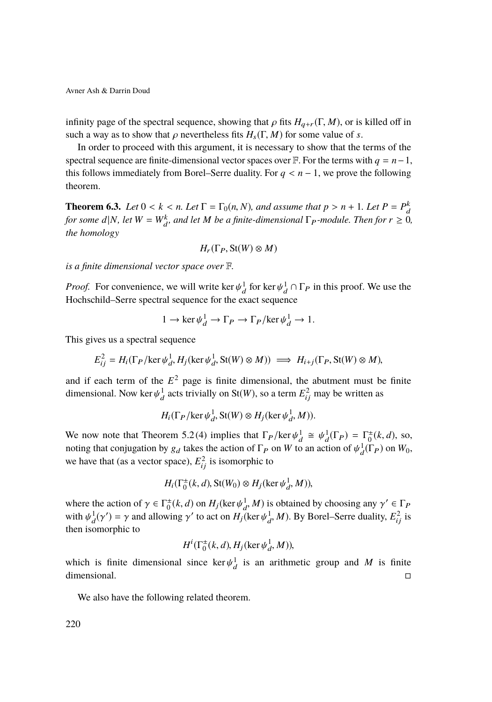infinity page of the spectral sequence, showing that  $\rho$  fits  $H_{a+r}(\Gamma, M)$ , or is killed off in such a way as to show that  $\rho$  nevertheless fits  $H_s(\Gamma, M)$  for some value of *s*.

In order to proceed with this argument, it is necessary to show that the terms of the spectral sequence are finite-dimensional vector spaces over  $\mathbb{F}$ . For the terms with  $q = n-1$ , this follows immediately from Borel–Serre duality. For  $q < n - 1$ , we prove the following theorem.

<span id="page-14-0"></span>**Theorem 6.3.** *Let*  $0 < k < n$ . Let  $\Gamma = \Gamma_0(n, N)$ , and assume that  $p > n + 1$ . Let  $P = P_0^k$ <br>for some db Let  $W = W^k$ , and let M be a finite dimensional  $\Gamma$ , modular Than for  $n > 0$ *for some d*|*N, let*  $W = W_d^k$ *, and let M be a finite-dimensional*  $\Gamma_P$ *-module. Then for*  $r \geq 0$ *, the homology*

$$
H_r(\Gamma_P, \mathop{\mathrm{St}}\nolimits(W) \otimes M)
$$

*is a finite dimensional vector space over* F*.*

*Proof.* For convenience, we will write ker  $\psi_d^1$  for ker  $\psi_d^1 \cap \Gamma_P$  in this proof. We use the Hockechild Serre spectral sequence for the exect sequence Hochschild–Serre spectral sequence for the exact sequence

$$
1 \to \ker \psi_d^1 \to \Gamma_P \to \Gamma_P / \ker \psi_d^1 \to 1.
$$

This gives us a spectral sequence

$$
E_{ij}^2 = H_i(\Gamma_P/\ker \psi_d^1, H_j(\ker \psi_d^1, \mathbf{St}(W) \otimes M)) \implies H_{i+j}(\Gamma_P, \mathbf{St}(W) \otimes M),
$$

and if each term of the  $E^2$  page is finite dimensional, the abutment must be finite dimensional. Now ker  $\psi_d^1$  acts trivially on St(*W*), so a term  $E_{ij}^2$  may be written as

$$
H_i(\Gamma_P/\ker \psi_d^1, \text{St}(W) \otimes H_j(\ker \psi_d^1, M)).
$$

We now note that Theorem [5.2](#page-12-4)[\(4\)](#page-12-3) implies that  $\Gamma_P/\text{ker }\psi_d^1 \cong \psi_d^1(\Gamma_P) = \Gamma_0^{\pm}(k, d)$ , so, noting that conjugation by a thing the action of  $\Gamma$ , on  $W_d$  to an action of  $\psi_d^1(\Gamma)$  on  $W_d$ . noting that conjugation by  $g_d$  takes the action of  $\Gamma_P$  on *W* to an action of  $\psi_d^1(\Gamma_P)$  on  $W_0$ , we have that (as a vector space),  $E_{ij}^2$  is isomorphic to

$$
H_i(\Gamma_0^{\pm}(k, d), \text{St}(W_0) \otimes H_j(\ker \psi_d^1, M)),
$$

where the action of  $\gamma \in \Gamma_0^{\pm}(k, d)$  on  $H_j(\ker \psi_d^1, M)$  is obtained by choosing any  $\gamma' \in \Gamma_P$ <br>with  $\psi_d^1(\alpha') = \gamma$  and allowing  $\alpha'$  to get on  $H_j(\ker \psi_d^1, M)$ . By Boral, Sarra duality,  $F^2$  is with  $\psi_d^1(\gamma') = \gamma$  and allowing  $\gamma'$  to act on  $H_j$ (ker  $\psi_d^1$ , *M*). By Borel–Serre duality,  $E_{ij}^2$  is then isomorphic to then isomorphic to

$$
H^i(\Gamma_0^{\pm}(k, d), H_j(\ker \psi_d^1, M)),
$$

which is finite dimensional since  $\ker \psi_d^1$  is an arithmetic group and *M* is finite dimensional dimensional.

We also have the following related theorem.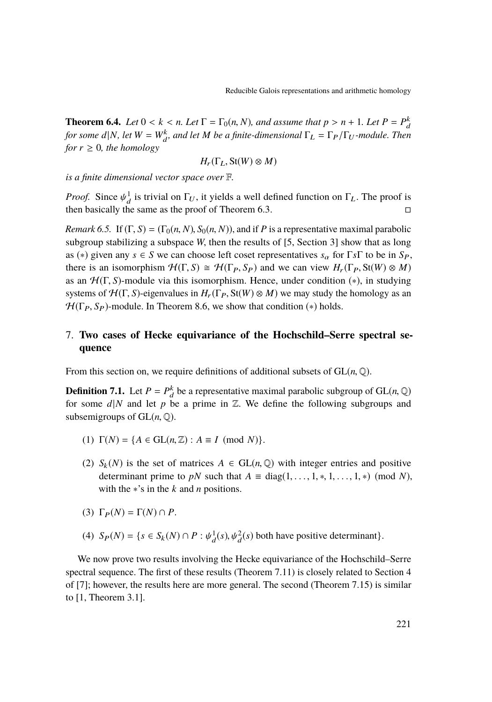<span id="page-15-0"></span>**Theorem 6.4.** *Let*  $0 < k < n$ . Let  $\Gamma = \Gamma_0(n, N)$ , and assume that  $p > n + 1$ . Let  $P = P_0^k$ <br>for some db Let  $W = W^k$ , and let M has g finite dimensional  $\Gamma = \Gamma$ ,  $\Gamma$ , modular Thom *for some d*|*N*, *let*  $W = W_d^k$ , and let *M be a finite-dimensional*  $\Gamma_L = \Gamma_P/\Gamma_U$ *-module. Then for*  $r \geq 0$ *, the homology* 

$$
H_r(\Gamma_L, \text{St}(W) \otimes M)
$$

*is a finite dimensional vector space over* F*.*

*Proof.* Since  $\psi_d^1$  is trivial on  $\Gamma_U$ , it yields a well defined function on  $\Gamma_L$ . The proof is then besically the same as the proof of Theorem 6.3 then basically the same as the proof of Theorem [6.3.](#page-14-0)

*Remark 6.5.* If  $(\Gamma, S) = (\Gamma_0(n, N), S_0(n, N))$ , and if *P* is a representative maximal parabolic subgroup stabilizing a subspace *W*, then the results of [\[5,](#page-38-2) Section 3] show that as long as (\*) given any  $s \in S$  we can choose left coset representatives  $s_\alpha$  for  $\Gamma s \Gamma$  to be in  $S_P$ , there is an isomorphism  $\mathcal{H}(\Gamma, S) \cong \mathcal{H}(\Gamma_P, S_P)$  and we can view  $H_r(\Gamma_P, \mathcal{S}(W) \otimes M)$ as an  $H(\Gamma, S)$ -module via this isomorphism. Hence, under condition  $(*)$ , in studying systems of  $H(\Gamma, S)$ -eigenvalues in  $H_r(\Gamma_P, St(W) \otimes M)$  we may study the homology as an  $\mathcal{H}(\Gamma_P, S_P)$ -module. In Theorem [8.6,](#page-24-0) we show that condition (\*) holds.

## 7. **Two cases of Hecke equivariance of the Hochschild–Serre spectral sequence**

From this section on, we require definitions of additional subsets of  $GL(n, \mathbb{Q})$ .

**Definition 7.1.** Let  $P = P_h^k$  be a representative maximal parabolic subgroup of GL(*n*, Q) for some dlM and let n be a prime in  $\mathbb{Z}$ . We define the following subgroups and for some  $d/N$  and let  $p$  be a prime in  $\mathbb{Z}$ . We define the following subgroups and subsemigroups of  $GL(n, \mathbb{Q})$ .

- (1)  $\Gamma(N) = \{A \in GL(n, \mathbb{Z}) : A \equiv I \pmod{N}\}.$
- (2)  $S_k(N)$  is the set of matrices  $A \in GL(n, \mathbb{Q})$  with integer entries and positive determinant prime to *pN* such that  $A \equiv diag(1, \ldots, 1, *, 1, \ldots, 1, *) \pmod{N}$ , with the ∗'s in the *k* and *n* positions.
- (3)  $\Gamma_P(N) = \Gamma(N) \cap P$ .
- (4)  $S_P(N) = \{ s \in S_k(N) \cap P : \psi_d^1(s), \psi_d^2(s) \text{ both have positive determinant} \}.$

We now prove two results involving the Hecke equivariance of the Hochschild–Serre spectral sequence. The first of these results (Theorem [7.11\)](#page-20-0) is closely related to Section 4 of [\[7\]](#page-38-4); however, the results here are more general. The second (Theorem [7.15\)](#page-21-0) is similar to [\[1,](#page-38-5) Theorem 3.1].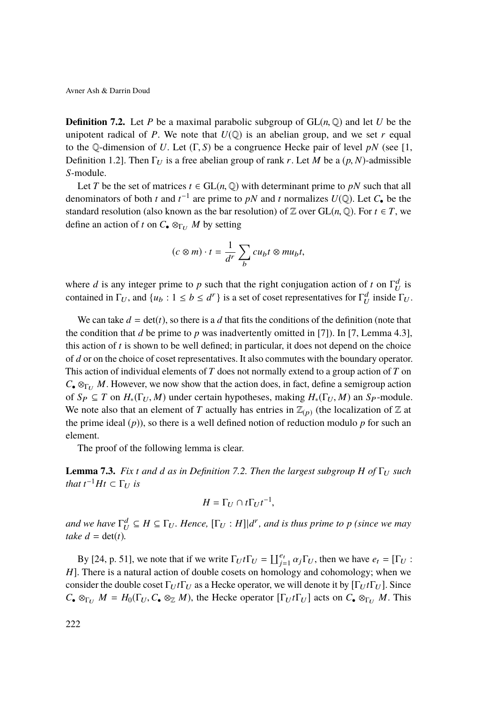<span id="page-16-0"></span>**Definition 7.2.** Let *P* be a maximal parabolic subgroup of  $GL(n, \mathbb{Q})$  and let *U* be the unipotent radical of *P*. We note that  $U(\mathbb{Q})$  is an abelian group, and we set *r* equal to the Q-dimension of *U*. Let  $(\Gamma, S)$  be a congruence Hecke pair of level *pN* (see [\[1,](#page-38-5) Definition 1.2]. Then  $\Gamma_U$  is a free abelian group of rank r. Let M be a  $(p, N)$ -admissible *S*-module.

Let *T* be the set of matrices  $t \in GL(n, \mathbb{Q})$  with determinant prime to *pN* such that all denominators of both *t* and  $t^{-1}$  are prime to *pN* and *t* normalizes  $U(\mathbb{Q})$ . Let  $C_{\bullet}$  be the standard resolution (also known as the bar resolution) of  $\mathbb Z$  over  $GL(n, \mathbb Q)$ . For  $t \in T$ , we define an action of *t* on  $C_{\bullet} \otimes_{\Gamma_U} M$  by setting

$$
(c \otimes m) \cdot t = \frac{1}{d^r} \sum_b c u_b t \otimes m u_b t,
$$

where *d* is any integer prime to *p* such that the right conjugation action of *t* on  $\Gamma_U^d$  is contained in  $\Gamma_U$ , and  $\{u_b : 1 \le b \le d^r\}$  is a set of coset representatives for  $\Gamma_U^d$  inside  $\Gamma_U$ .

We can take  $d = \det(t)$ , so there is a *d* that fits the conditions of the definition (note that the condition that *d* be prime to *p* was inadvertently omitted in [\[7\]](#page-38-4)). In [\[7,](#page-38-4) Lemma 4.3], this action of *t* is shown to be well defined; in particular, it does not depend on the choice of *d* or on the choice of coset representatives. It also commutes with the boundary operator. This action of individual elements of *T* does not normally extend to a group action of *T* on  $C_{\bullet} \otimes_{\Gamma_{U}} M$ . However, we now show that the action does, in fact, define a semigroup action of  $S_P \subseteq T$  on  $H_*(\Gamma_U, M)$  under certain hypotheses, making  $H_*(\Gamma_U, M)$  an  $S_P$ -module. We note also that an element of *T* actually has entries in  $\mathbb{Z}_{(p)}$  (the localization of  $\mathbb Z$  at the prime ideal  $(p)$ ), so there is a well defined notion of reduction modulo  $p$  for such an element.

The proof of the following lemma is clear.

**Lemma 7.3.** *Fix t and d as in Definition* [7.2.](#page-16-0) *Then the largest subgroup H of*  $\Gamma$ *U such that*  $t^{-1}Ht \subset \Gamma_U$  *is* 

$$
H = \Gamma_U \cap t\Gamma_U t^{-1},
$$

and we have  $\Gamma_U^d \subseteq H \subseteq \Gamma_U$ . Hence,  $[\Gamma_U : H] | d^r$ , and is thus prime to p (since we may *take*  $d = \det(t)$ *.* 

By [\[24,](#page-40-0) p. 51], we note that if we write  $\Gamma_U t \Gamma_U = \prod_{j=1}^{e_t} \alpha_j \Gamma_U$ , then we have  $e_t = [\Gamma_U :$ <br>There is a natural setion of double seests on homology and sehemplogy when we *H*]. There is a natural action of double cosets on homology and cohomology; when we consider the double coset  $\Gamma_U t \Gamma_U$  as a Hecke operator, we will denote it by  $[\Gamma_U t \Gamma_U]$ . Since  $C_{\bullet} \otimes_{\Gamma_U} M = H_0(\Gamma_U, C_{\bullet} \otimes_{\mathbb{Z}} M)$ , the Hecke operator  $[\Gamma_U t \Gamma_U]$  acts on  $C_{\bullet} \otimes_{\Gamma_U} M$ . This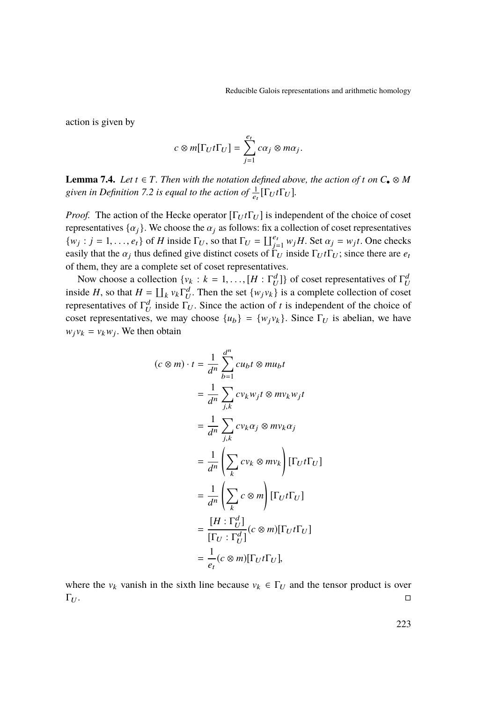action is given by

$$
c\otimes m[\Gamma_U t\Gamma_U]=\sum_{j=1}^{e_t} c\alpha_j\otimes m\alpha_j
$$

<span id="page-17-0"></span>**Lemma 7.4.** *Let*  $t \in T$ *. Then with the notation defined above, the action of t on*  $C_{\bullet} \otimes M$ given in Definition [7.2](#page-16-0) is equal to the action of  $\frac{1}{e_t}[\Gamma_U t \Gamma_U]$ .

*Proof.* The action of the Hecke operator  $[\Gamma_U t \Gamma_U]$  is independent of the choice of coset representatives  $\{\alpha_j\}$ . We choose the  $\alpha_j$  as follows: fix a collection of coset representatives  $\{w_j : j = 1, \ldots, e_t\}$  of *H* inside  $\Gamma_U$ , so that  $\Gamma_U = \prod_{j=1}^{e_t} w_j H$ . Set  $\alpha_j = w_j t$ . One checks easily that the  $\alpha_j$  thus defined give distinct cosets of  $\Gamma_U$  inside  $\Gamma_U t \Gamma_U$ ; since there are *e<sub>t</sub>* of them they are a complete set of coset representatives of them, they are a complete set of coset representatives.

Now choose a collection  $\{v_k : k = 1, ..., [H : \Gamma_d^d]\}$  of coset representatives of  $\Gamma_d^d$ <br>ide *H* so that  $H = \Pi_{\text{out}} \Gamma_d^d$ . Then the set  $(w, w)$  is a complete collection of coset inside *H*, so that  $H = \coprod_k v_k \Gamma_U^d$ . Then the set  $\{w_j v_k\}$  is a complete collection of coset representatives of  $\Gamma_U^d$  inside  $\Gamma_U$ . Since the action of *t* is independent of the choice of coset representatives, we may choose  $\{u_b\} = \{w_j v_k\}$ . Since  $\Gamma_U$  is abelian, we have  $w_j v_k = v_k w_j$ . We then obtain

$$
(c \otimes m) \cdot t = \frac{1}{d^n} \sum_{b=1}^{d^n} cu_b t \otimes mu_b t
$$
  

$$
= \frac{1}{d^n} \sum_{j,k} cv_k w_j t \otimes mv_k w_j t
$$
  

$$
= \frac{1}{d^n} \sum_{j,k} cv_k \alpha_j \otimes mv_k \alpha_j
$$
  

$$
= \frac{1}{d^n} \left( \sum_k cv_k \otimes mv_k \right) [\Gamma_U t \Gamma_U]
$$
  

$$
= \frac{1}{d^n} \left( \sum_k c \otimes m \right) [\Gamma_U t \Gamma_U]
$$
  

$$
= \frac{[H : \Gamma_U^d]}{[\Gamma_U : \Gamma_U^d]} (c \otimes m) [\Gamma_U t \Gamma_U]
$$
  

$$
= \frac{1}{e_t} (c \otimes m) [\Gamma_U t \Gamma_U],
$$

where the  $v_k$  vanish in the sixth line because  $v_k \in \Gamma_U$  and the tensor product is over  $\Gamma_U$ .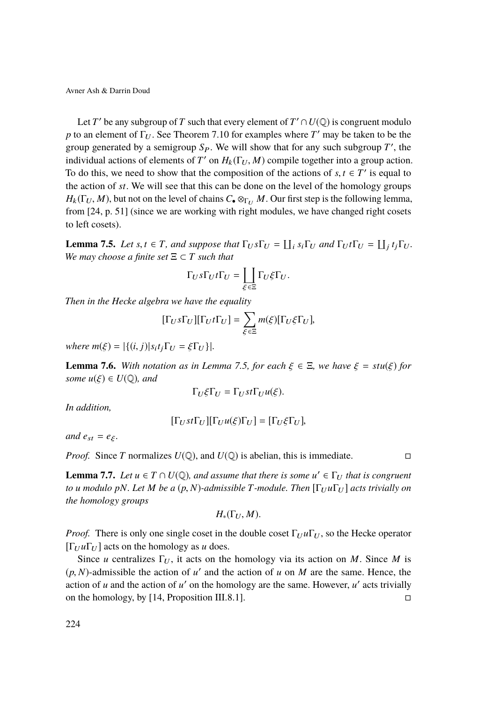Let *T'* be any subgroup of *T* such that every element of  $T' \cap U(\mathbb{Q})$  is congruent modulo *p* to an element of  $\Gamma_U$ . See Theorem [7.10](#page-19-0) for examples where *T'* may be taken to be the group generated by a semigroup  $S_P$ . We will show that for any such subgroup  $T'$ , the individual actions of elements of *T'* on  $H_k(\Gamma_U, M)$  compile together into a group action.<br>To do this, we need to show that the composition of the actions of s *t*  $\epsilon$  *T'* is equal to To do this, we need to show that the composition of the actions of  $s, t \in T'$  is equal to the action of *st*. We will see that this can be done on the lavel of the homology groups the action of *st*. We will see that this can be done on the level of the homology groups  $H_k(\Gamma_U, M)$ , but not on the level of chains  $C_{\bullet} \otimes_{\Gamma_U} M$ . Our first step is the following lemma, from [\[24,](#page-40-0) p. 51] (since we are working with right modules, we have changed right cosets to left cosets).

<span id="page-18-0"></span>**Lemma 7.5.** *Let s*, *t*  $\in$  *T*, *and suppose that*  $\Gamma_U s \Gamma_U = \prod_i s_i \Gamma_U$  *and*  $\Gamma_U t \Gamma_U = \prod_j t_j \Gamma_U$ .<br>We may choose a finite set  $\Xi \subset T$  such that *We may choose a finite set*  $\Xi \subset T$  *such that* 

$$
\Gamma_U s \Gamma_U t \Gamma_U = \coprod_{\xi \in \Xi} \Gamma_U \xi \Gamma_U.
$$

*Then in the Hecke algebra we have the equality*

$$
[\Gamma_U s \Gamma_U] [\Gamma_U t \Gamma_U] = \sum_{\xi \in \Xi} m(\xi) [\Gamma_U \xi \Gamma_U],
$$

*where*  $m(\xi) = |\{(i, j)|s_i t_j \Gamma_U = \xi \Gamma_U\}|.$ 

<span id="page-18-1"></span>**Lemma 7.6.** *With notation as in Lemma [7.5,](#page-18-0) for each*  $\xi \in \Xi$ *, we have*  $\xi = \text{stu}(\xi)$  *for some*  $u(\xi) \in U(\mathbb{Q})$ *, and* 

$$
\Gamma_U \xi \Gamma_U = \Gamma_U st \Gamma_U u(\xi).
$$

*In addition,*

$$
[\Gamma_U st \Gamma_U] [\Gamma_U u(\xi) \Gamma_U] = [\Gamma_U \xi \Gamma_U],
$$

*and*  $e_{st} = e_{\xi}$ *.* 

*Proof.* Since *T* normalizes  $U(\mathbb{Q})$ , and  $U(\mathbb{Q})$  is abelian, this is immediate.

<span id="page-18-2"></span>**Lemma 7.7.** *Let*  $u \in T \cap U(\mathbb{Q})$ , and assume that there is some  $u' \in \Gamma_U$  that is congruent *to u* modulo *pN. Let M be a* (*p, N*)*-admissible T-module. Then*  $[\Gamma_U u \Gamma_U]$  *acts trivially on the homology groups*

$$
H_*(\Gamma_U, M).
$$

*Proof.* There is only one single coset in the double coset  $\Gamma_U u \Gamma_U$ , so the Hecke operator  $[\Gamma_{U} u \Gamma_{U}]$  acts on the homology as *u* does.

Since *u* centralizes  $\Gamma_U$ , it acts on the homology via its action on *M*. Since *M* is  $(p, N)$ -admissible the action of *u*' and the action of *u* on *M* are the same. Hence, the same of *u* and the action of *u*' on the hemology are the same. However, *u*' acts trivially action of  $u$  and the action of  $u'$  on the homology are the same. However,  $u'$  acts trivially on the homology, by [\[14,](#page-39-10) Proposition III.8.1].  $\square$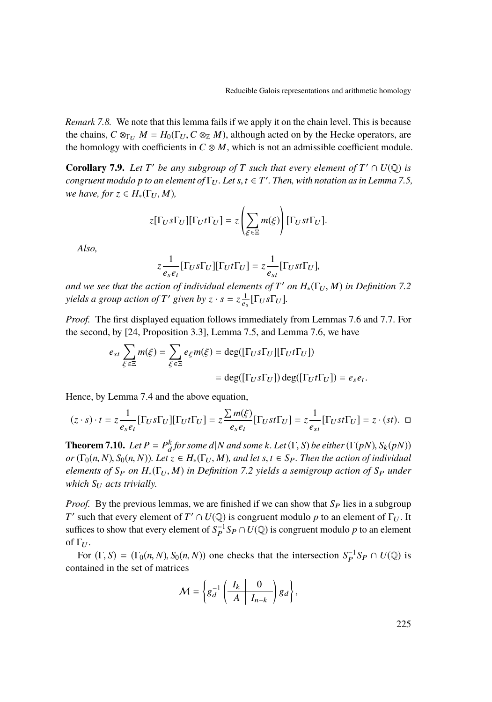*Remark 7.8.* We note that this lemma fails if we apply it on the chain level. This is because the chains,  $C \otimes_{\Gamma_U} M = H_0(\Gamma_U, C \otimes_{\mathbb{Z}} M)$ , although acted on by the Hecke operators, are the homology with coefficients in  $C \otimes M$ , which is not an admissible coefficient module.

<span id="page-19-1"></span>**Corollary 7.9.** Let  $T'$  be any subgroup of  $T$  such that every element of  $T' \cap U(\mathbb{Q})$  is *congruent modulo p to an element of*  $\Gamma_U$ *. Let s*,  $t \in T'$ *. Then, with notation as in Lemma* [7.5,](#page-18-0)<br>we have for  $z \in H$  ( $\Gamma_X$ , M) *we have, for*  $z \in H_*(\Gamma_U, M)$ *,* 

$$
z[\Gamma_U s \Gamma_U] [\Gamma_U t \Gamma_U] = z \left( \sum_{\xi \in \Xi} m(\xi) \right) [\Gamma_U s t \Gamma_U].
$$

*Also,*

$$
z\frac{1}{e_s e_t}[\Gamma_U s \Gamma_U][\Gamma_U t \Gamma_U] = z\frac{1}{e_{st}}[\Gamma_U s t \Gamma_U],
$$

*and we see that the action of individual elements of*  $T'$  *on*  $H_*(\Gamma_U, M)$  *in Definition* [7.2](#page-16-0) *yields a group action of*  $T'$  *given by*  $z \cdot s = z \frac{1}{e_s} [\Gamma_U s \Gamma_U]$ *.* 

*Proof.* The first displayed equation follows immediately from Lemmas [7.6](#page-18-1) and [7.7.](#page-18-2) For the second, by [\[24,](#page-40-0) Proposition 3.3], Lemma [7.5,](#page-18-0) and Lemma [7.6,](#page-18-1) we have

$$
e_{st} \sum_{\xi \in \Xi} m(\xi) = \sum_{\xi \in \Xi} e_{\xi} m(\xi) = \deg([\Gamma_U s \Gamma_U] [\Gamma_U t \Gamma_U])
$$
  
= 
$$
\deg([\Gamma_U s \Gamma_U]) \deg([\Gamma_U t \Gamma_U]) = e_s e_t.
$$

Hence, by Lemma [7.4](#page-17-0) and the above equation,

$$
(z\cdot s)\cdot t=z\frac{1}{e_se_t}[\Gamma_U s\Gamma_U][\Gamma_U t\Gamma_U]=z\frac{\sum m(\xi)}{e_se_t}[\Gamma_U st\Gamma_U]=z\frac{1}{e_{st}}[\Gamma_U st\Gamma_U]=z\cdot (st).\quad \Box
$$

<span id="page-19-0"></span>**Theorem 7.10.** *Let*  $P = P_a^k$  *for some d*|*N and some k. Let* (Γ, *S*) *be either* (Γ(*pN*), *S<sub>k</sub>*(*pN*))  $\alpha$  *d*(*r, a, N*) *Let*  $\alpha \in H$  (Γ, *M*) and let  $s$   $t \in S$ . Then the action of individual  $or$   $(\Gamma_0(n, N), S_0(n, N))$ *. Let*  $z \in H_*(\Gamma_U, M)$ *, and let*  $s, t \in S_P$ *. Then the action of individual elements of S<sub>P</sub> on H*<sub>∗</sub>( $\Gamma$ <sub>*U</sub>*, *M*) *in Definition* [7.2](#page-16-0) *yields a semigroup action of S<sub>P</sub> under*</sub> *which*  $S_U$  *acts trivially.* 

*Proof.* By the previous lemmas, we are finished if we can show that  $S_P$  lies in a subgroup *T*' such that every element of *T*'  $\cap$  *U*( $\mathbb{Q}$ ) is congruent modulo *p* to an element of  $\Gamma_U$ . It suffices to show that every element of  $S_P^{-1}S_P \cap U(\mathbb{Q})$  is congruent modulo *p* to an element of  $\Gamma_{U}$ .

For  $(\Gamma, S) = (\Gamma_0(n, N), S_0(n, N))$  one checks that the intersection  $S_P^{-1}S_P \cap U(\mathbb{Q})$  is the set of matrices contained in the set of matrices

$$
\mathcal{M} = \left\{ g_d^{-1} \left( \begin{array}{c|c} I_k & 0 \\ \hline A & I_{n-k} \end{array} \right) g_d \right\},\,
$$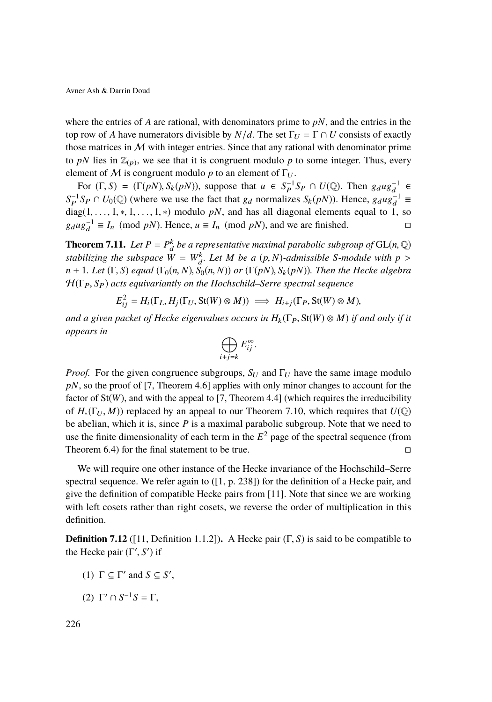where the entries of *A* are rational, with denominators prime to *pN*, and the entries in the top row of *A* have numerators divisible by  $N/d$ . The set  $\Gamma_U = \Gamma \cap U$  consists of exactly those matrices in  $M$  with integer entries. Since that any rational with denominator prime to pN lies in  $\mathbb{Z}_{(p)}$ , we see that it is congruent modulo p to some integer. Thus, every element of M is congruent modulo p to an element of  $\Gamma_U$ .

For  $(\Gamma, S) = (\Gamma(pN), S_k(pN))$ , suppose that  $u \in S_P^{-1}S_P \cap U(\mathbb{Q})$ . Then  $g_dug_d^{-1} \in S_Q$  *LI*( $\mathbb{Q}$ ) (where we use the feet that *e*, normalizes  $S_p(\mathbb{R}^N)$ ). Hence  $g_u u^{-1} =$  $S_P^{-1}S_P \cap U_0(\mathbb{Q})$  (where we use the fact that  $g_d$  normalizes  $S_k(pN)$ ). Hence,  $g_d u g_d^{-1} \equiv$ diag(1, . . ., 1, \*, 1, . . ., 1, \*) modulo *pN*, and has all diagonal elements equal to 1, so  $g_{\text{all}}g^{-1} \equiv I_n \pmod{pN}$ . Hence,  $u \equiv I_n \pmod{pN}$  and we are finished.  $g_d u g_d^{-1} \equiv I_n \pmod{pN}$ . Hence,  $u \equiv I_n \pmod{pN}$ , and we are finished. □

<span id="page-20-0"></span>**Theorem 7.11.** *Let*  $P = P_d^k$  *be a representative maximal parabolic subgroup of* GL(*n*,  $\mathbb{Q}$ ) *attabilizing the subgroup of*  $\mathbb{Q}(n, \mathbb{Q})$  *attabilizing the subgroup of stabilizing the subspace*  $W = W_a^k$ . Let  $M$  be a  $(p, N)$ -admissible *S*-module with  $p >$ <br> $p + 1$ , Let  $(\Gamma, S)$  aqual  $(\Gamma, (p, N), S_i(p, N))$  or  $(\Gamma(nN), S_i(p, N))$ . Then the Hacke algebra  $n + 1$ *. Let*  $(\Gamma, S)$  *equal*  $(\Gamma_0(n, N), S_0(n, N))$  *or*  $(\Gamma(pN), S_k(pN))$ *. Then the Hecke algebra*  $H(\Gamma_P, S_P)$  *acts equivariantly on the Hochschild–Serre spectral sequence* 

$$
E_{ij}^2 = H_i(\Gamma_L, H_j(\Gamma_U, \text{St}(W) \otimes M)) \implies H_{i+j}(\Gamma_P, \text{St}(W) \otimes M),
$$

*and a given packet of Hecke eigenvalues occurs in*  $H_k(\Gamma_P, \text{St}(W) \otimes M)$  *if and only if it appears in*

$$
\bigoplus_{i+j=k} E_{ij}^{\infty}.
$$

*Proof.* For the given congruence subgroups,  $S_U$  and  $\Gamma_U$  have the same image modulo pN, so the proof of [\[7,](#page-38-4) Theorem 4.6] applies with only minor changes to account for the factor of  $St(W)$ , and with the appeal to [\[7,](#page-38-4) Theorem 4.4] (which requires the irreducibility of  $H_*(\Gamma_U, M)$ ) replaced by an appeal to our Theorem [7.10,](#page-19-0) which requires that  $U(\mathbb{Q})$ be abelian, which it is, since *P* is a maximal parabolic subgroup. Note that we need to use the finite dimensionality of each term in the  $E<sup>2</sup>$  page of the spectral sequence (from Theorem [6.4\)](#page-15-0) for the final statement to be true.  $\Box$ 

We will require one other instance of the Hecke invariance of the Hochschild–Serre spectral sequence. We refer again to ([\[1,](#page-38-5) p. 238]) for the definition of a Hecke pair, and give the definition of compatible Hecke pairs from [\[11\]](#page-39-11). Note that since we are working with left cosets rather than right cosets, we reverse the order of multiplication in this definition.

**Definition 7.12** ([\[11,](#page-39-11) Definition 1.1.2])**.** A Hecke pair (Γ, *<sup>S</sup>*) is said to be compatible to the Hecke pair  $(\Gamma', S')$  if

- (1)  $\Gamma \subseteq \Gamma'$  and  $S \subseteq S'$ ,
- (2) Γ' ∩  $S^{-1}S = Γ$ ,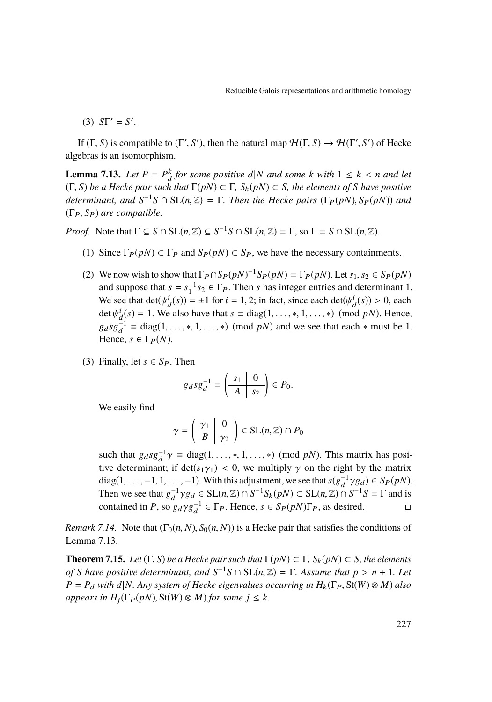(3)  $ST' = S'$ .

If  $(\Gamma, S)$  is compatible to  $(\Gamma', S')$ , then the natural map  $\mathcal{H}(\Gamma, S) \to \mathcal{H}(\Gamma', S')$  of Hecke algebras is an isomorphism.

<span id="page-21-1"></span>**Lemma 7.13.** *Let*  $P = P_a^k$  *for some positive*  $d|N$  *and some k* with  $1 \le k < n$  and let  $F(n) \subset F$ ,  $S_n(n) \subset S$ , the elements of S have positive (Γ, *<sup>S</sup>*) *be a Hecke pair such that* <sup>Γ</sup>(*pN*) ⊂ <sup>Γ</sup>*, <sup>S</sup>*<sup>k</sup> (*pN*) ⊂ *<sup>S</sup>, the elements of <sup>S</sup> have positive determinant, and*  $S^{-1}S \cap SL(n, \mathbb{Z}) = \Gamma$ *. Then the Hecke pairs* ( $\Gamma_P(pN)$ ,  $S_P(pN)$ ) *and*  $(\Gamma_P(S)$  *are compatible* (ΓP, *<sup>S</sup>*P) *are compatible.*

*Proof.* Note that  $\Gamma \subseteq S \cap SL(n, \mathbb{Z}) \subseteq S^{-1}S \cap SL(n, \mathbb{Z}) = \Gamma$ , so  $\Gamma = S \cap SL(n, \mathbb{Z})$ .

- (1) Since  $\Gamma_P(pN) \subset \Gamma_P$  and  $S_P(pN) \subset S_P$ , we have the necessary containments.
- (2) We now wish to show that  $\Gamma_P \cap S_P(pN)^{-1}S_P(pN) = \Gamma_P(pN)$ . Let  $s_1, s_2 \in S_P(pN)$ <br>and suppose that  $s = s^{-1} s_2 \in \Gamma$ . Then *s* has integer entries and determinant 1 and suppose that  $s = s_1^{-1} s_2 \in \Gamma_P$ . Then *s* has integer entries and determinant 1. We see that  $det(\psi_d^i(s)) = \pm 1$  for  $i = 1, 2$ ; in fact, since each  $det(\psi_d^i(s)) > 0$ , each  $det(\psi_d^i(s)) = 1$ . We also have that  $s = diag(1, \dots, 1, \dots, s)$  (mod nM). Hence det  $\psi_d^i(s) = 1$ . We also have that  $s \equiv diag(1, \ldots, *, 1, \ldots, *)$  (mod *pN*). Hence,  $g_d s g_d^{-1} \equiv \text{diag}(1, \dots, *, 1, \dots, *) \pmod{pN}$  and we see that each  $*$  must be 1.<br>Hance  $s \in \Gamma_{-}(N)$ Hence,  $s \in \Gamma_P(N)$ .
- (3) Finally, let  $s \in S_P$ . Then

$$
g_d s g_d^{-1} = \left(\begin{array}{c|c} s_1 & 0 \\ \hline A & s_2 \end{array}\right) \in P_0.
$$

We easily find

$$
\gamma = \left(\begin{array}{c|c}\gamma_1 & 0\\ \hline B & \gamma_2\end{array}\right) \in \text{SL}(n, \mathbb{Z}) \cap P_0
$$

such that  $g_d s g_d^{-1} \gamma \equiv \text{diag}(1, \dots, *, 1, \dots, *) \pmod{pN}$ . This matrix has positive determinant: if  $\text{det}(g_t \chi) \leq 0$  we multiply  $\chi$  on the right by the matrix tive determinant; if  $\det(s_1\gamma_1) < 0$ , we multiply  $\gamma$  on the right by the matrix diag(1, . . . ., -1, 1, . . . ., -1). With this adjustment, we see that  $s(g_A^{-1}\gamma g_d) \in S_P(pN)$ .<br>Then we see that  $s^{-1}g(g) \in SL(n\mathbb{Z}) \cap SL(n\mathbb{Z}) \cap SL(n\mathbb{Z}) \cap SL(n\mathbb{Z} \cap E$  and is Then we see that  $g_d^{-1} \gamma g_d \in SL(n, \mathbb{Z}) \cap S^{-1} S_k(pN) \subset SL(n, \mathbb{Z}) \cap S^{-1} S = \Gamma$  and is contained in *P*, so  $g_d \gamma g_d^{-1} \in \Gamma_P$ . Hence,  $s \in S_P(pN)\Gamma_P$ , as desired.

*Remark 7.14.* Note that  $(\Gamma_0(n, N), S_0(n, N))$  is a Hecke pair that satisfies the conditions of Lemma [7.13.](#page-21-1)

<span id="page-21-0"></span>**Theorem 7.15.** *Let*  $(\Gamma, S)$  *be a Hecke pair such that*  $\Gamma(pN) \subset \Gamma$ ,  $S_k(pN) \subset S$ *, the elements of S have positive determinant, and*  $S^{-1}S \cap SL(n,\mathbb{Z}) = \Gamma$ *. Assume that*  $p > n + 1$ *. Let*<br> $P = P$ *, with d N. Any system of Hocke giganyaluse occurring in H.* ( $\Gamma$ - St(W)  $\otimes$  M) also  $P = P_d$  *with*  $d|N$ *. Any system of Hecke eigenvalues occurring in*  $H_k(\Gamma_P, St(W) \otimes M)$  *also*  $appears in H<sub>i</sub>(\Gamma_P(pN), St(W) \otimes M)$  *for some*  $j \leq k$ *.*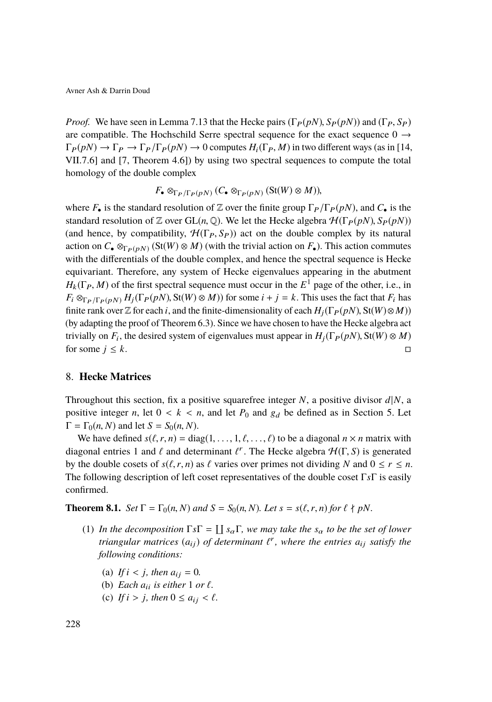*Proof.* We have seen in Lemma [7.13](#page-21-1) that the Hecke pairs  $(\Gamma_P(pN), S_P(pN))$  and  $(\Gamma_P, S_P)$ are compatible. The Hochschild Serre spectral sequence for the exact sequence  $0 \rightarrow$  $\Gamma_P(pN) \to \Gamma_P \to \Gamma_P/\Gamma_P(pN) \to 0$  computes  $H_i(\Gamma_P, M)$  in two different ways (as in [\[14,](#page-39-10) VII.7.6] and [\[7,](#page-38-4) Theorem 4.6]) by using two spectral sequences to compute the total homology of the double complex

$$
F_{\bullet} \otimes_{\Gamma_P/\Gamma_P(pN)} (C_{\bullet} \otimes_{\Gamma_P(pN)} (\text{St}(W) \otimes M)),
$$

where  $F_{\bullet}$  is the standard resolution of Z over the finite group  $\Gamma_P/\Gamma_P(pN)$ , and  $C_{\bullet}$  is the standard resolution of Z over  $GL(n, \mathbb{Q})$ . We let the Hecke algebra  $H(\Gamma_P(pN), S_P(pN))$ (and hence, by compatibility,  $\mathcal{H}(\Gamma_P, S_P)$ ) act on the double complex by its natural action on  $C_{\bullet} \otimes_{\Gamma_P(pN)} (\text{St}(W) \otimes M)$  (with the trivial action on  $F_{\bullet}$ ). This action commutes with the differentials of the double complex, and hence the spectral sequence is Hecke equivariant. Therefore, any system of Hecke eigenvalues appearing in the abutment  $H_k(\Gamma_P, M)$  of the first spectral sequence must occur in the  $E^1$  page of the other, i.e., in<br> $E \otimes_{\mathbb{Z}} E = (E \otimes_{\mathbb{Z}} E^1(\Gamma_P(n)) \otimes H)(\Gamma_R(n))$  for some  $i + i = k$ . This uses the foot that  $E$  has  $F_i \otimes_{\Gamma_P/\Gamma_P(p)} F_j(F_p(pN), Sf(W) \otimes M)$  for some  $i + j = k$ . This uses the fact that  $F_i$  has finite rank over  $\mathbb Z$  for each *i*, and the finite-dimensionality of each  $H_i(\Gamma_P(pN), St(W) \otimes M)$ (by adapting the proof of Theorem [6.3\)](#page-14-0). Since we have chosen to have the Hecke algebra act trivially on *F<sub>i</sub>*, the desired system of eigenvalues must appear in  $H_j(\Gamma_P(pN), St(W) \otimes M)$ for some  $j \leq k$ .

### 8. **Hecke Matrices**

Throughout this section, fix a positive squarefree integer *N*, a positive divisor  $d|N$ , a positive integer *n*, let  $0 < k < n$ , and let  $P_0$  and  $g_d$  be defined as in Section [5.](#page-10-0) Let  $\Gamma = \Gamma_0(n, N)$  and let  $S = S_0(n, N)$ .

We have defined  $s(\ell, r, n) = \text{diag}(1, \ldots, 1, \ell, \ldots, \ell)$  to be a diagonal  $n \times n$  matrix with diagonal entries 1 and  $\ell$  and determinant  $\ell^r$ . The Hecke algebra  $\mathcal{H}(\Gamma, S)$  is generated<br>by the double cosets of  $s(\ell, r, n)$  as  $\ell$  veries over primes not dividing  $N$  and  $0 \le r \le n$ by the double cosets of  $s(\ell, r, n)$  as  $\ell$  varies over primes not dividing *N* and  $0 \le r \le n$ . The following description of left coset representatives of the double coset Γ*s*Γ is easily confirmed.

**Theorem 8.1.** *Set*  $\Gamma = \Gamma_0(n, N)$  *and*  $S = S_0(n, N)$ *. Let*  $s = s(\ell, r, n)$  *for*  $\ell \nmid pN$ *.* 

- (1) In the decomposition  $\Gamma s \Gamma = \coprod s_{\alpha} \Gamma$ , we may take the  $s_{\alpha}$  to be the set of lower *triangular matrices*  $(a_{ij})$  *of determinant*  $\ell^r$ , where the entries  $a_{ij}$  *satisfy the*<br>*following conditions: following conditions:*
	- (a) *If*  $i < j$ *, then*  $a_{ij} = 0$ *.*
	- (b) *Each*  $a_{ii}$  *is either* 1 *or*  $\ell$ *.*
	- (c) *If*  $i > j$ *, then*  $0 \le a_{ij} < \ell$ *.*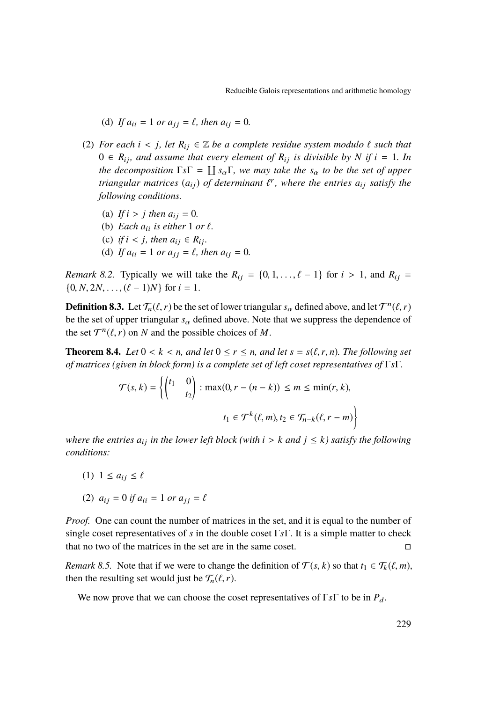- (d) If  $a_{ii} = 1$  or  $a_{ii} = \ell$ , then  $a_{ii} = 0$ .
- (2) *For each*  $i < j$ *, let*  $R_{ij} \in \mathbb{Z}$  *be a complete residue system modulo*  $\ell$  *such that*  $0 \in R_{ij}$ , and assume that every element of  $R_{ij}$  is divisible by N if  $i = 1$ . In *the decomposition*  $\Gamma s\Gamma = \coprod s_\alpha \Gamma$ , we may take the  $s_\alpha$  to be the set of upper *triangular matrices*  $(a_{ij})$  *of determinant*  $\ell^r$ , where the entries  $a_{ij}$  *satisfy the*<br>*following conditions following conditions.*
	- (a) *If*  $i > j$  *then*  $a_{ij} = 0$ *.*
	- (b) *Each*  $a_{ii}$  *is either* 1 *or*  $\ell$ .
	- (c) *if*  $i < j$ *, then*  $a_{ij} \in R_{ij}$ *.*
	- (d) If  $a_{ii} = 1$  or  $a_{jj} = \ell$ , then  $a_{ij} = 0$ .

*Remark 8.2.* Typically we will take the  $R_{ij} = \{0, 1, \ldots, \ell - 1\}$  for  $i > 1$ , and  $R_{ij} =$  $\{0, N, 2N, \ldots, (\ell - 1)N\}$  for  $i = 1$ .

**Definition 8.3.** Let  $\mathcal{T}_n(\ell, r)$  be the set of lower triangular  $s_\alpha$  defined above, and let  $\mathcal{T}^n(\ell, r)$  be the set of upper triangular *s*. defined above. Note that we suppress the dependence of be the set of upper triangular  $s_\alpha$  defined above. Note that we suppress the dependence of the set  $\mathcal{T}^n(\ell, r)$  on *N* and the possible choices of *M*.

**Theorem 8.4.** *Let*  $0 \le k \le n$ *, and let*  $0 \le r \le n$ *, and let*  $s = s(\ell, r, n)$ *. The following set of matrices (given in block form) is a complete set of left coset representatives of* Γ*s*Γ*.*

$$
\mathcal{T}(s,k) = \left\{ \begin{pmatrix} t_1 & 0 \\ & t_2 \end{pmatrix} : \max(0, r - (n - k)) \le m \le \min(r, k),
$$

$$
t_1 \in \mathcal{T}^k(\ell, m), t_2 \in \mathcal{T}_{n-k}(\ell, r - m) \right\}
$$

*where the entries*  $a_{ij}$  *in the lower left block (with*  $i > k$  *and*  $j \leq k$ ) satisfy the following *conditions:*

- (1)  $1 \le a_{ii} \le \ell$
- (2)  $a_{ij} = 0$  *if*  $a_{ii} = 1$  *or*  $a_{jj} = \ell$

*Proof.* One can count the number of matrices in the set, and it is equal to the number of single coset representatives of *s* in the double coset Γ*s*Γ. It is a simple matter to check that no two of the matrices in the set are in the same coset.

*Remark 8.5.* Note that if we were to change the definition of  $\mathcal{T}(s, k)$  so that  $t_1 \in \mathcal{T}_k(\ell, m)$ , then the resulting set would just be  $\mathcal{T}_n(\ell, r)$ .

We now prove that we can choose the coset representatives of  $\Gamma s \Gamma$  to be in  $P_d$ .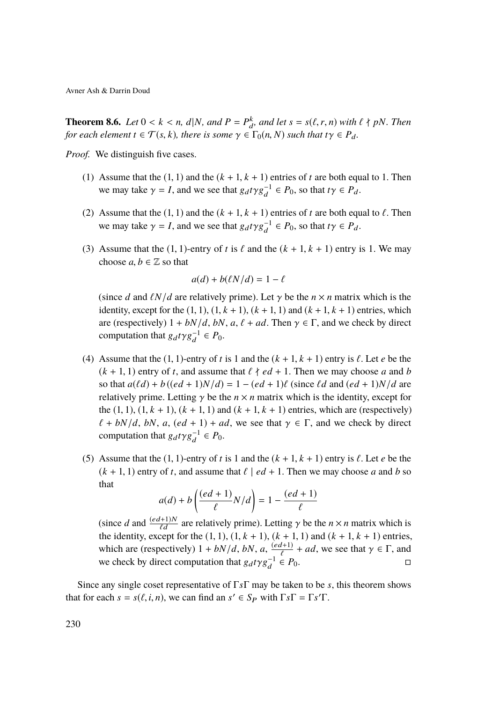<span id="page-24-0"></span>**Theorem 8.6.** *Let*  $0 < k < n$ ,  $d|N$ , and  $P = P_k^k$ , and let  $s = s(\ell, r, n)$  with  $\ell \nmid pN$ . Then for each element  $\epsilon \in \mathcal{T}(\epsilon, k)$ , there is some  $\alpha \in \mathcal{F}(\epsilon, N)$  such that  $t\alpha \in P$ . *for each element*  $t \in \mathcal{T}(s, k)$ *, there is some*  $\gamma \in \Gamma_0(n, N)$  *such that*  $t\gamma \in P_d$ *.* 

<span id="page-24-1"></span>*Proof.* We distinguish five cases.

- (1) Assume that the  $(1, 1)$  and the  $(k + 1, k + 1)$  entries of *t* are both equal to 1. Then we may take  $\gamma = I$ , and we see that  $g_d t \gamma g_d^{-1} \in P_0$ , so that  $t\gamma \in P_d$ .
- <span id="page-24-2"></span>(2) Assume that the  $(1, 1)$  and the  $(k + 1, k + 1)$  entries of *t* are both equal to  $\ell$ . Then we may take  $\gamma = I$ , and we see that  $g_d t \gamma g_d^{-1} \in P_0$ , so that  $t\gamma \in P_d$ .
- <span id="page-24-3"></span>(3) Assume that the  $(1, 1)$ -entry of *t* is  $\ell$  and the  $(k + 1, k + 1)$  entry is 1. We may choose  $a, b \in \mathbb{Z}$  so that

$$
a(d) + b(\ell N/d) = 1 - \ell
$$

(since *d* and  $\ell N/d$  are relatively prime). Let  $\gamma$  be the  $n \times n$  matrix which is the identity, except for the  $(1, 1)$ ,  $(1, k + 1)$ ,  $(k + 1, 1)$  and  $(k + 1, k + 1)$  entries, which are (respectively)  $1 + bN/d$ ,  $bN$ ,  $a, \ell + ad$ . Then  $\gamma \in \Gamma$ , and we check by direct computation that  $g_d t \gamma g_d^{-1} \in P_0$ .

- <span id="page-24-4"></span>(4) Assume that the  $(1, 1)$ -entry of *t* is 1 and the  $(k + 1, k + 1)$  entry is  $\ell$ . Let *e* be the  $(k + 1, 1)$  entry of *t*, and assume that  $\ell \nmid ed + 1$ . Then we may choose *a* and *b* so that  $a(\ell d) + b((ed + 1)N/d) = 1 - (ed + 1)\ell$  (since  $\ell d$  and  $(ed + 1)N/d$  are relatively prime. Letting  $\gamma$  be the  $n \times n$  matrix which is the identity, except for the  $(1, 1)$ ,  $(1, k + 1)$ ,  $(k + 1, 1)$  and  $(k + 1, k + 1)$  entries, which are (respectively)  $\ell + bN/d$ , *bN*, *a*,  $(ed + 1) + ad$ , we see that  $\gamma \in \Gamma$ , and we check by direct computation that  $g_d t \gamma g_d^{-1} \in P_0$ .
- <span id="page-24-5"></span>(5) Assume that the  $(1, 1)$ -entry of *t* is 1 and the  $(k + 1, k + 1)$  entry is  $\ell$ . Let *e* be the  $(k + 1, 1)$  entry of *t*, and assume that  $\ell \mid ed + 1$ . Then we may choose *a* and *b* so that

$$
a(d) + b\left(\frac{(ed+1)}{\ell}N/d\right) = 1 - \frac{(ed+1)}{\ell}
$$

(since *d* and  $\frac{(ed+1)N}{\ell d}$  are relatively prime). Letting  $\gamma$  be the  $n \times n$  matrix which is the identity, except for the (1, 1),  $(1, k + 1)$ ,  $(k + 1, 1)$  and  $(k + 1, k + 1)$  entries, which are (respectively)  $1 + bN/d$ ,  $bN$ ,  $a$ ,  $\frac{(ed+1)}{e} + ad$ , we see that  $\gamma \in \Gamma$ , and we check by direct computation that  $g_d t \gamma g_d^{-1} \in P_0$ .

Since any single coset representative of Γ*s*Γ may be taken to be *s*, this theorem shows that for each  $s = s(\ell, i, n)$ , we can find an  $s' \in S_P$  with  $\Gamma s \Gamma = \Gamma s' \Gamma$ .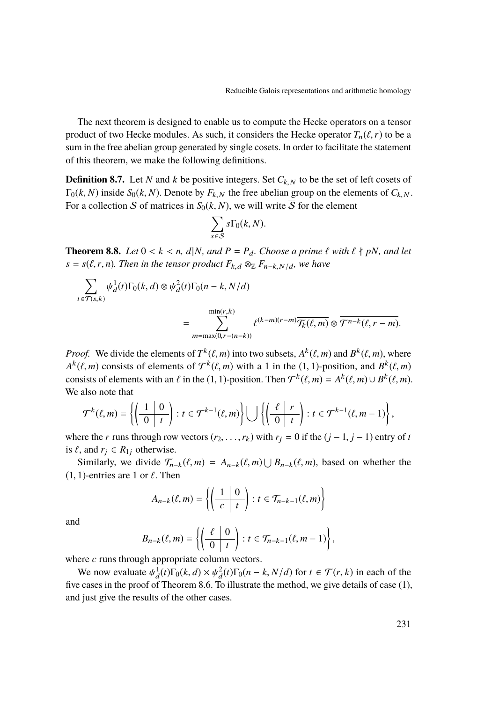The next theorem is designed to enable us to compute the Hecke operators on a tensor product of two Hecke modules. As such, it considers the Hecke operator  $T_n(\ell, r)$  to be a sum in the free abelian group generated by single cosets. In order to facilitate the statement of this theorem, we make the following definitions.

**Definition 8.7.** Let *N* and *k* be positive integers. Set  $C_{k,N}$  to be the set of left cosets of  $\Gamma_0(k, N)$  inside  $S_0(k, N)$ . Denote by  $F_{k, N}$  the free abelian group on the elements of  $C_{k, N}$ . For a collection S of matrices in  $S_0(k, N)$ , we will write  $\overline{S}$  for the element

$$
\sum_{s \in \mathcal{S}} s \Gamma_0(k, N).
$$

<span id="page-25-0"></span>**Theorem 8.8.** Let  $0 < k < n$ ,  $d|N$ , and  $P = P_d$ . Choose a prime  $\ell$  with  $\ell \nmid pN$ , and let  $s = s(\ell, r, n)$ *. Then in the tensor product*  $F_{k,d} \otimes_{\mathbb{Z}} F_{n-k,N/d}$ *, we have* 

$$
\sum_{t \in \mathcal{T}(s,k)} \psi_d^1(t) \Gamma_0(k,d) \otimes \psi_d^2(t) \Gamma_0(n-k,N/d)
$$

$$
= \sum_{m=\max(0,r-(n-k))}^{\min(r,k)} \ell^{(k-m)(r-m)} \overline{\mathcal{T}_{k}(\ell,m)} \otimes \overline{\mathcal{T}^{n-k}(\ell,r-m)}.
$$

*Proof.* We divide the elements of  $T^k(\ell, m)$  into two subsets,  $A^k(\ell, m)$  and  $B^k(\ell, m)$ , where  $A^k(\ell, m)$  consists of elements of  $\mathcal{T}^k(\ell, m)$  with a 1 in the (1,1) position, and  $B^k(\ell, m)$  $A^k(\ell, m)$  consists of elements of  $\mathcal{T}^k(\ell, m)$  with a 1 in the (1, 1)-position, and  $B^k(\ell, m)$ <br>consists of elements with an  $\ell$  in the (1, 1) position. Then  $\mathcal{T}^k(\ell, m) = A^k(\ell, m) + B^k(\ell, m)$ consists of elements with an  $\ell$  in the (1, 1)-position. Then  $\mathcal{T}^k(\ell, m) = A^k(\ell, m) \cup B^k(\ell, m)$ .<br>We also note that We also note that

$$
\mathcal{T}^k(\ell,m) = \left\{ \left( \begin{array}{c|c} 1 & 0 \\ \hline 0 & t \end{array} \right) : t \in \mathcal{T}^{k-1}(\ell,m) \right\} \bigcup \left\{ \left( \begin{array}{c|c} \ell & r \\ \hline 0 & t \end{array} \right) : t \in \mathcal{T}^{k-1}(\ell,m-1) \right\},\
$$

where the *r* runs through row vectors  $(r_2, \ldots, r_k)$  with  $r_j = 0$  if the  $(j - 1, j - 1)$  entry of *t* is  $\ell$ , and  $r_j \in R_{1j}$  otherwise.

Similarly, we divide  $\mathcal{T}_{n-k}(\ell, m) = A_{n-k}(\ell, m) \cup B_{n-k}(\ell, m)$ , based on whether the  $(1, 1)$ -entries are 1 or  $\ell$ . Then

$$
A_{n-k}(\ell,m) = \left\{ \left( \begin{array}{c|c} 1 & 0 \\ \hline c & t \end{array} \right) : t \in \mathcal{T}_{n-k-1}(\ell,m) \right\}
$$

and

$$
B_{n-k}(\ell,m) = \left\{ \left( \begin{array}{c|c} \ell & 0 \\ \hline 0 & t \end{array} \right) : t \in \mathcal{T}_{n-k-1}(\ell,m-1) \right\},\,
$$

where *c* runs through appropriate column vectors.

We now evaluate  $\psi_d^1(t)\Gamma_0(k, d) \times \psi_d^2(t)\Gamma_0(n - k, N/d)$  for  $t \in \mathcal{T}(r, k)$  in each of the proof of Theorem 8.6. To illustrate the method, we give details of case (1) five cases in the proof of Theorem [8.6.](#page-24-0) To illustrate the method, we give details of case [\(1\)](#page-24-1), and just give the results of the other cases.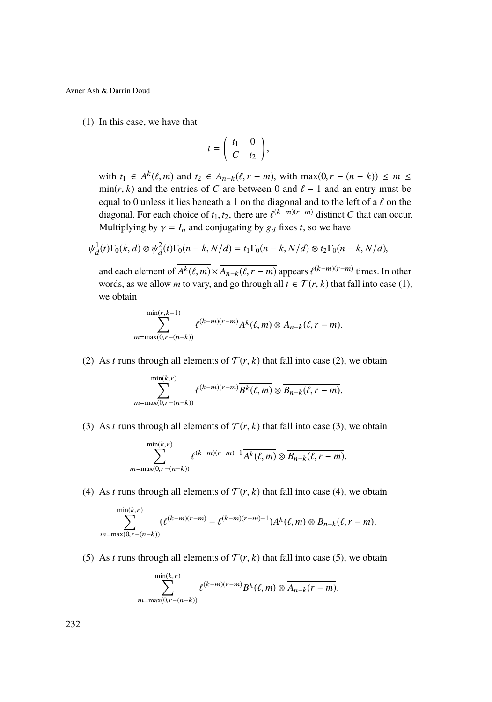<span id="page-26-0"></span>(1) In this case, we have that

$$
t=\left(\begin{array}{c|c} t_1 & 0 \\ \hline C & t_2 \end{array}\right),\,
$$

with  $t_1 \in A^k(\ell, m)$  and  $t_2 \in A_{n-k}(\ell, r - m)$ , with  $\max(0, r - (n - k)) \le m \le$ <br> $\min(r, k)$  and the entries of *C* are between 0 and  $\ell - 1$  and an entry must be min( $r$ ,  $k$ ) and the entries of C are between 0 and  $\ell - 1$  and an entry must be equal to 0 unless it lies beneath a 1 on the diagonal and to the left of a  $\ell$  on the diagonal. For each choice of *t*<sub>1</sub>, *t*<sub>2</sub>, there are  $\ell^{(k-m)(r-m)}$  distinct *C* that can occur.<br>Multiplying by  $\alpha = I$ , and conjugating by  $\alpha$ , fixes *t*, so we have Multiplying by  $\gamma = I_n$  and conjugating by  $g_d$  fixes *t*, so we have

$$
\psi_d^1(t)\Gamma_0(k,d) \otimes \psi_d^2(t)\Gamma_0(n-k,N/d) = t_1\Gamma_0(n-k,N/d) \otimes t_2\Gamma_0(n-k,N/d),
$$

and each element of  $A^k(\ell, m) \times \overline{A_{n-k}(\ell, r-m)}$  appears  $\ell^{(k-m)(r-m)}$  times. In other<br>words, as we allow m to very and go through all  $t \in \mathcal{T}(r, k)$  that fall into case (1) words, as we allow *m* to vary, and go through all  $t \in \mathcal{T}(r, k)$  that fall into case [\(1\)](#page-24-1), we obtain

$$
\sum_{m=\max(0,r-(n-k))}^{\min(r,k-1)} \ell^{(k-m)(r-m)} \overline{A^k(\ell,m)} \otimes \overline{A_{n-k}(\ell,r-m)}.
$$

<span id="page-26-3"></span>[\(2\)](#page-24-2) As *t* runs through all elements of  $\mathcal{T}(r, k)$  that fall into case (2), we obtain

$$
\sum_{m=\max(0,r-(n-k))}^{\min(k,r)} \ell^{(k-m)(r-m)} \overline{B^k(\ell,m)} \otimes \overline{B_{n-k}(\ell,r-m)}.
$$

<span id="page-26-1"></span>[\(3\)](#page-24-3) As *t* runs through all elements of  $\mathcal{T}(r, k)$  that fall into case (3), we obtain

$$
\sum_{m=\max(0,r-(n-k))}^{\min(k,r)} \ell^{(k-m)(r-m)-1} \overline{A^k(\ell,m)} \otimes \overline{B_{n-k}(\ell,r-m)}.
$$

<span id="page-26-2"></span>[\(4\)](#page-24-4) As *t* runs through all elements of  $\mathcal{T}(r, k)$  that fall into case (4), we obtain

$$
\sum_{m=\max(0,r-(n-k))}^{\min(k,r)} (\ell^{(k-m)(r-m)} - \ell^{(k-m)(r-m)-1}) \overline{A^k(\ell,m)} \otimes \overline{B_{n-k}(\ell,r-m)}.
$$

<span id="page-26-4"></span>[\(5\)](#page-24-5) As *t* runs through all elements of  $\mathcal{T}(r, k)$  that fall into case (5), we obtain

$$
\sum_{m=\max(0,r-(n-k))}^{\min(k,r)} \ell^{(k-m)(r-m)} \overline{B^k(\ell,m)} \otimes \overline{A_{n-k}(r-m)}.
$$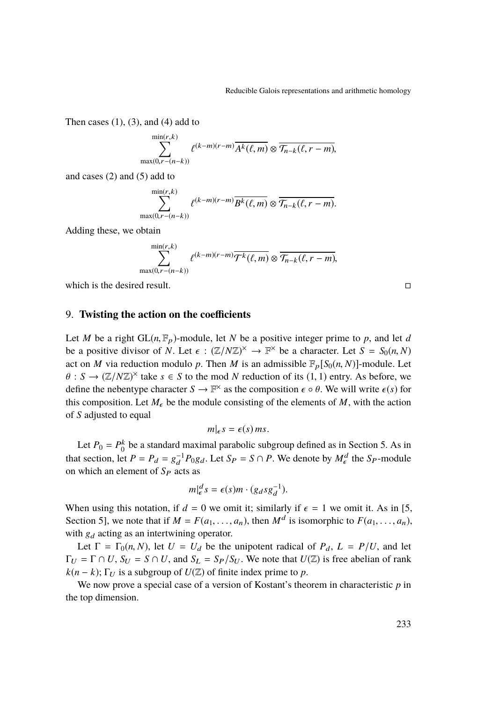Then cases  $(1)$ ,  $(3)$ , and  $(4)$  add to

$$
\sum_{\max(0,r-(n-k))}^{\min(r,k)} \ell^{(k-m)(r-m)} \overline{A^k(\ell,m)} \otimes \overline{\mathcal{T}_{n-k}(\ell,r-m)},
$$

and cases [\(2\)](#page-26-3) and [\(5\)](#page-26-4) add to

$$
\sum_{\max(0,r-(n-k))}^{\min(r,k)} \ell^{(k-m)(r-m)} \overline{B^k(\ell,m)} \otimes \overline{\mathcal{T}_{n-k}(\ell,r-m)}.
$$

Adding these, we obtain

$$
\sum_{\max(0,r-(n-k))}^{\min(r,k)} \ell^{(k-m)(r-m)} \overline{\mathcal{T}^k(\ell,m)} \otimes \overline{\mathcal{T}_{n-k}(\ell,r-m)},
$$

which is the desired result.  $\Box$ 

### 9. **Twisting the action on the coefficients**

Let *M* be a right  $GL(n, \mathbb{F}_p)$ -module, let *N* be a positive integer prime to *p*, and let *d* be a positive divisor of *N*. Let  $\epsilon$  :  $(\mathbb{Z}/N\mathbb{Z})^{\times} \to \mathbb{F}^{\times}$  be a character. Let  $S = S_0(n, N)$ <br>set on *M* via reduction modulo *n*. Then *M* is an admissible  $\mathbb{F}$ ,  $[S_n(n, N)]$  modulo *L* of act on *M* via reduction modulo *p*. Then *M* is an admissible  $\mathbb{F}_p[S_0(n, N)]$ -module. Let  $\theta$ :  $S \to (\mathbb{Z}/N\mathbb{Z})^{\times}$  take  $s \in S$  to the mod *N* reduction of its (1, 1) entry. As before, we define the nebentume character  $S \to \mathbb{R}^{\times}$  as the composition  $\epsilon \circ \theta$ . We will write  $\epsilon(s)$  for define the nebentype character  $S \to \mathbb{F}^\times$  as the composition  $\epsilon \circ \theta$ . We will write  $\epsilon(s)$  for this composition. Let M, be the module consisting of the clamate of M, with the action this composition. Let  $M_{\epsilon}$  be the module consisting of the elements of  $M$ , with the action of *S* adjusted to equal

$$
m|_{\epsilon} s = \epsilon(s) \, ms.
$$

Let  $P_0 = P_0^k$  be a standard maximal parabolic subgroup defined as in Section [5.](#page-10-0) As in that section, let  $P = P_d = g_d^{-1} P_0 g_d$ . Let  $S_P = S \cap P$ . We denote by  $M_{\epsilon}^d$  the  $S_P$ -module on which an element of  $S_P$  acts as

$$
m|_{\epsilon}^d s = \epsilon(s)m \cdot (g_d s g_d^{-1}).
$$

When using this notation, if  $d = 0$  we omit it; similarly if  $\epsilon = 1$  we omit it. As in [\[5,](#page-38-2) Section 5], we note that if  $M = F(a_1, \ldots, a_n)$ , then  $M^d$  is isomorphic to  $F(a_1, \ldots, a_n)$ , with  $g_d$  acting as an intertwining operator.

Let  $\Gamma = \Gamma_0(n, N)$ , let  $U = U_d$  be the unipotent radical of  $P_d$ ,  $L = P/U$ , and let  $\Gamma_U = \Gamma \cap U$ ,  $S_U = S \cap U$ , and  $S_L = S_P/S_U$ . We note that  $U(\mathbb{Z})$  is free abelian of rank  $k(n - k)$ ; Γ<sub>*U*</sub> is a subgroup of  $U(\mathbb{Z})$  of finite index prime to *p*.

We now prove a special case of a version of Kostant's theorem in characteristic *p* in the top dimension.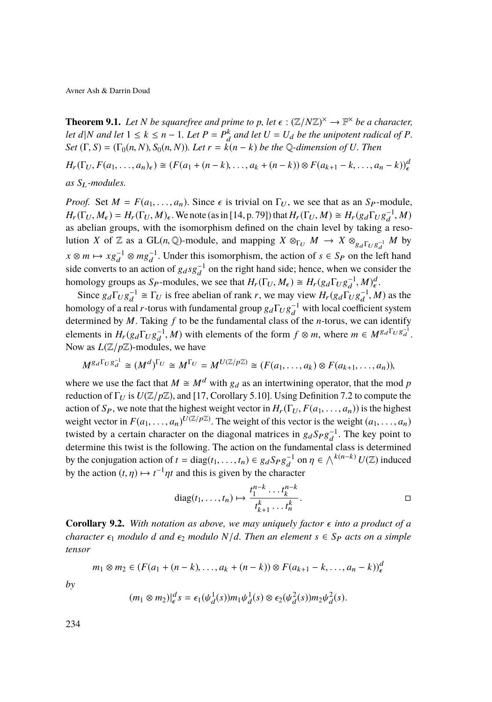<span id="page-28-0"></span>**Theorem 9.1.** *Let N be squarefree and prime to p, let*  $\epsilon : (\mathbb{Z}/N\mathbb{Z})^{\times} \to \mathbb{F}^{\times}$  *be a character,*<br>let  $d|N$  and let  $1 \le k \le n-1$ . Let  $B = B^k$  and let  $U = U$ , be the unipotent radical of  $B$ *let d*|*N and let*  $1 \leq k \leq n-1$ *. Let*  $P = P_d^k$  *and let*  $U = U_d$  *be the unipotent radical of*  $P$ *.*  $Set(\Gamma, S) = (\Gamma_0(n, N), S_0(n, N))$ . Let  $r = k(n - k)$  be the Q-dimension of U. Then

*H*<sub>r</sub>( $\Gamma$ <sub>U</sub>,  $F$ ( $a_1, ..., a_n$ ) $\in$ ) ≅ ( $F$ ( $a_1 + (n - k), ..., a_k + (n - k)$ ) ⊗  $F$ ( $a_{k+1} - k, ..., a_n - k$ )) $\neq$ *as S*L*-modules.*

*Proof.* Set  $M = F(a_1, \ldots, a_n)$ . Since  $\epsilon$  is trivial on  $\Gamma_U$ , we see that as an *S*<sub>P</sub>-module,  $H_r(\Gamma_U, M_\epsilon) = H_r(\Gamma_U, M)_\epsilon$ . We note (as in [\[14,](#page-39-10) p. 79]) that  $H_r(\Gamma_U, M) \cong H_r(g_d\Gamma_U g_d^{-1}, M)$  as a belian groups, with the isomorphism defined on the chain layel by taking a reso. as abelian groups, with the isomorphism defined on the chain level by taking a resolution *X* of  $\mathbb{Z}$  as a GL(*n*, Q)-module, and mapping  $X \otimes_{\Gamma_U} M \to X \otimes_{g_d \Gamma_U g_d^{-1}} M$  by  $x \otimes m \mapsto x g_d^{-1} \otimes mg_d^{-1}$ . Under this isomorphism, the action of  $s \in S_P$  on the left hand side converts to an action of  $g_d s g_d^{-1}$  on the right hand side; hence, when we consider the homology groups as *S<sub>P</sub>*-modules, we see that  $H_r(\Gamma_U, M_\epsilon) \cong H_r(g_d\Gamma_U g_d^{-1}, M)_{\epsilon}^d$ .<br>Since  $\epsilon \Gamma_c \epsilon^{-1} \propto \Gamma_c$  is free shelling of replace was move view  $H_c(g_c\Gamma_c g_d^{-1}, M)_{\epsilon}^d$ .

Since  $g_d\Gamma_U g_d^{-1} \cong \Gamma_U$  is free abelian of rank *r*, we may view  $H_r(g_d\Gamma_U g_d^{-1}, M)$  as the malner of real *r*, terms with fundamental group  $g \Gamma_U g_d^{-1}$  with local coefficient system homology of a real *r*-torus with fundamental group  $g_d \Gamma_U g_d^{-1}$  with local coefficient system determined by *M*. Taking *f* to be the fundamental class of the *n*-torus, we can identify elements in  $H_r(g_d\Gamma_U g_d^{-1}, M)$  with elements of the form  $f \otimes m$ , where  $m \in M^{g_d\Gamma_U g_d^{-1}}$ .<br>Now as  $I(\mathbb{Z}/n\mathbb{Z})$  modulas we have Now as  $L(\mathbb{Z}/p\mathbb{Z})$ -modules, we have

$$
M^{g_d\Gamma_U g_d^{-1}} \cong (M^d)^{\Gamma_U} \cong M^{\Gamma_U} = M^{U(\mathbb{Z}/p\mathbb{Z})} \cong (F(a_1, \ldots, a_k) \otimes F(a_{k+1}, \ldots, a_n)),
$$

where we use the fact that  $M \cong M^d$  with  $g_d$  as an intertwining operator, that the mod *p* reduction of  $\Gamma_U$  is  $U(\mathbb{Z}/p\mathbb{Z})$ , and [\[17,](#page-39-12) Corollary 5.10]. Using Definition [7.2](#page-16-0) to compute the action of  $S_P$ , we note that the highest weight vector in  $H_r(\Gamma_U, F(a_1, \ldots, a_n))$  is the highest weight vector in  $F(a_1, \ldots, a_n)$   $U(\mathbb{Z}/p\mathbb{Z})$ . The weight of this vector is the weight  $(a_1, \ldots, a_n)$ <br>twisted by a certain character on the diagonal matrices in  $a_1 S_1 a^{-1}$ . The key point to twisted by a certain character on the diagonal matrices in  $g_d S_P g_d^{-1}$ . The key point to determine this twist is the following. The action on the fundamental class is determined by the conjugation action of  $t = diag(t_1, ..., t_n) \in g_dS_Pg_d^{-1}$  on  $\eta \in \bigwedge^{k(n-k)} U(\mathbb{Z})$  induced<br>by the action  $(t, n) \mapsto t^{-1}nt$  and this is given by the abspactor. by the action  $(t, \eta) \mapsto t^{-1}\eta t$  and this is given by the character

diag
$$
(t_1, ..., t_n)
$$
  $\mapsto$   $\frac{t_1^{n-k} \dots t_k^{n-k}}{t_{k+1}^k \dots t_n^k}$ .

**Corollary 9.2.** With notation as above, we may uniquely factor  $\epsilon$  into a product of a *character*  $\epsilon_1$  *modulo d and*  $\epsilon_2$  *modulo*  $N/d$ *. Then an element*  $s \in S_P$  *acts on a simple tensor*

$$
m_1 \otimes m_2 \in (F(a_1 + (n-k), \ldots, a_k + (n-k)) \otimes F(a_{k+1} - k, \ldots, a_n - k))_e^d
$$

*by*

$$
(m_1 \otimes m_2)|^d_{\epsilon} s = \epsilon_1(\psi_d^1(s))m_1\psi_d^1(s) \otimes \epsilon_2(\psi_d^2(s))m_2\psi_d^2(s).
$$

234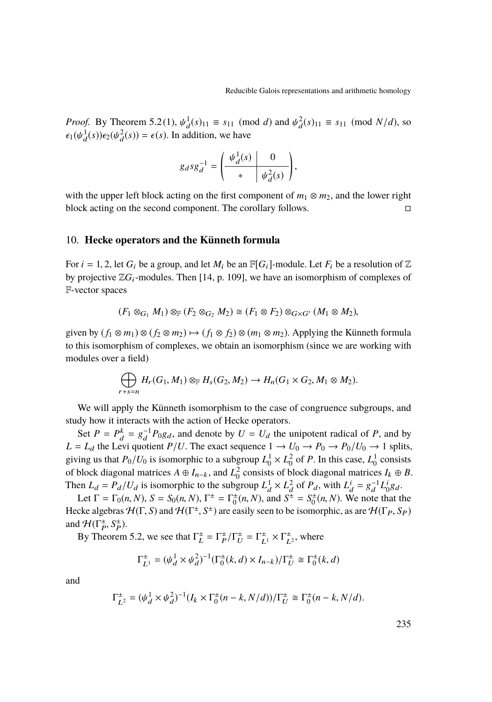*Proof.* By Theorem [5.2](#page-12-4)[\(1\)](#page-12-0),  $\psi_d^1(s)_{11} \equiv s_{11} \pmod{d}$  and  $\psi_d^2(s)_{11} \equiv s_{11} \pmod{N/d}$ , so  $\epsilon_k(\psi_d^1(s)) \epsilon_k(\psi_d^2(s)) = \epsilon(s)$ . In addition, we have  $\epsilon_1(\psi_d^1(s))\epsilon_2(\psi_d^2(s)) = \epsilon(s)$ . In addition, we have

$$
g_d s g_d^{-1} = \left(\begin{array}{c|c} \psi_d^1(s) & 0 \\ \hline \ast & \psi_d^2(s) \end{array}\right),\,
$$

with the upper left block acting on the first component of  $m_1 \otimes m_2$ , and the lower right block acting on the second component. The corollary follows.

### <span id="page-29-0"></span>10. **Hecke operators and the Künneth formula**

For  $i = 1, 2$ , let  $G_i$  be a group, and let  $M_i$  be an  $\mathbb{F}[G_i]$ -module. Let  $F_i$  be a resolution of  $\mathbb{Z}$ by projective  $\mathbb{Z}G_i$ -modules. Then [\[14,](#page-39-10) p. 109], we have an isomorphism of complexes of F-vector spaces

$$
(F_1 \otimes_{G_1} M_1) \otimes_{\mathbb{F}} (F_2 \otimes_{G_2} M_2) \cong (F_1 \otimes F_2) \otimes_{G \times G'} (M_1 \otimes M_2),
$$

given by  $(f_1 \otimes m_1) \otimes (f_2 \otimes m_2) \mapsto (f_1 \otimes f_2) \otimes (m_1 \otimes m_2)$ . Applying the Künneth formula to this isomorphism of complexes, we obtain an isomorphism (since we are working with modules over a field)

$$
\bigoplus_{r+s=n} H_r(G_1,M_1) \otimes_{\mathbb{F}} H_s(G_2,M_2) \to H_n(G_1 \times G_2, M_1 \otimes M_2).
$$

We will apply the Künneth isomorphism to the case of congruence subgroups, and study how it interacts with the action of Hecke operators.

Set  $P = P_d^k = g_d^{-1} P_0 g_d$ , and denote by  $U = U_d$  the unipotent radical of *P*, and by  $L = L_d$  the Levi quotient *P*/*U*. The exact sequence  $1 \rightarrow U_0 \rightarrow P_0 \rightarrow P_0/U_0 \rightarrow 1$  splits, giving us that  $P_0/U_0$  is isomorphic to a subgroup  $L_0^1 \times L_0^2$  of *P*. In this case,  $L_0^1$  consists of block diagonal matrices  $A \oplus I_{n-k}$ , and  $L_0^2$  consists of block diagonal matrices  $I_k \oplus B$ . Then  $L_d = P_d/U_d$  is isomorphic to the subgroup  $L_d^1 \times L_d^2$  of  $P_d$ , with  $L_d^i = g_d^{-1} L_0^i g_d$ .

Let  $\Gamma = \Gamma_0(n, N)$ ,  $S = S_0(n, N)$ ,  $\Gamma^{\pm} = \Gamma_0^{\pm}(n, N)$ , and  $S^{\pm} = S_0^{\pm}(n, N)$ . We note that the Hecke algebras  $\mathcal{H}(\Gamma, S)$  and  $\mathcal{H}(\Gamma^{\pm}, S^{\pm})$  are easily seen to be isomorphic, as are  $\mathcal{H}(\Gamma_P, S_P)$ and  $\mathcal{H}(\Gamma_P^{\pm}, S_P^{\pm}).$ <br>By Theorem

By Theorem [5.2,](#page-12-4) we see that  $\Gamma_L^{\pm} = \Gamma_P^{\pm}/\Gamma_U^{\pm} = \Gamma_{L_1}^{\pm} \times \Gamma_{L_2}^{\pm}$ , where

$$
\Gamma_{L^{1}}^{\pm} = (\psi_{d}^{1} \times \psi_{d}^{2})^{-1} (\Gamma_{0}^{\pm}(k, d) \times I_{n-k}) / \Gamma_{U}^{\pm} \cong \Gamma_{0}^{\pm}(k, d)
$$

and

$$
\Gamma_{L^2}^{\pm} = (\psi_d^1 \times \psi_d^2)^{-1} (I_k \times \Gamma_0^{\pm} (n-k, N/d)) / \Gamma_U^{\pm} \cong \Gamma_0^{\pm} (n-k, N/d).
$$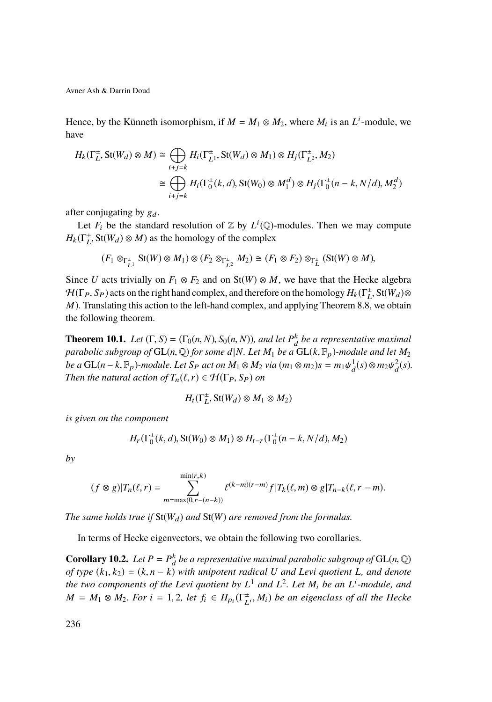Hence, by the Künneth isomorphism, if  $M = M_1 \otimes M_2$ , where  $M_i$  is an  $L^i$ -module, we have

$$
H_k(\Gamma_L^{\pm}, \text{St}(W_d) \otimes M) \cong \bigoplus_{i+j=k} H_i(\Gamma_{L^1}^{\pm}, \text{St}(W_d) \otimes M_1) \otimes H_j(\Gamma_{L^2}^{\pm}, M_2)
$$

$$
\cong \bigoplus_{i+j=k} H_i(\Gamma_0^{\pm}(k, d), \text{St}(W_0) \otimes M_1^d) \otimes H_j(\Gamma_0^{\pm}(n-k, N/d), M_2^d)
$$

after conjugating by  $g_d$ .

Let  $F_i$  be the standard resolution of  $\mathbb Z$  by  $L^i(\mathbb Q)$ -modules. Then we may compute  $H_k(\Gamma_L^{\pm}, \text{St}(W_d) \otimes M)$  as the homology of the complex

$$
(F_1 \otimes_{\Gamma_{L_1}^{\pm}} \text{St}(W) \otimes M_1) \otimes (F_2 \otimes_{\Gamma_{L_2}^{\pm}} M_2) \cong (F_1 \otimes F_2) \otimes_{\Gamma_L^{\pm}} (\text{St}(W) \otimes M),
$$

Since *U* acts trivially on  $F_1 \otimes F_2$  and on St(*W*)  $\otimes M$ , we have that the Hecke algebra  $\mathcal{H}(\Gamma_P, S_P)$  acts on the right hand complex, and therefore on the homology  $H_k(\Gamma_L^{\pm}, \text{St}(W_d) \otimes M)$ . Translating this action to the left hand complex, and applying Theorem 8.8, we obtain *M*). Translating this action to the left-hand complex, and applying Theorem [8.8,](#page-25-0) we obtain the following theorem.

<span id="page-30-0"></span>**Theorem 10.1.** *Let*  $(\Gamma, S) = (\Gamma_0(n, N), S_0(n, N))$ *, and let*  $P_d^k$  *be a representative maximal* narabolic subgroup of  $\text{GI}(n, \mathbb{Q})$  for some dlN, Let M<sub>i</sub>, he a  $\text{GI}(k, \mathbb{R})$  module and let M<sub>i</sub>. *parabolic subgroup of*  $GL(n, \mathbb{Q})$  *for some d*|*N. Let*  $M_1$  *be a*  $GL(k, \mathbb{F}_p)$ *-module and let*  $M_2$ *be a* GL(*n* − *k*,  $\mathbb{F}_p$ )*-module. Let*  $S_p$  *act on*  $M_1 \otimes M_2$  *via*  $(m_1 \otimes m_2)s = m_1 \psi_d^1(s) \otimes m_2 \psi_d^2(s)$ .<br>Then the natural action of  $T$  ( $\ell$ ,  $r$ )  $\in M(\Gamma_2, S_2)$  on *Then the natural action of*  $T_n(\ell, r) \in \mathcal{H}(\Gamma_P, S_P)$  *on* 

$$
H_t(\Gamma_L^{\pm}, \text{St}(W_d) \otimes M_1 \otimes M_2)
$$

*is given on the component*

$$
H_r(\Gamma_0^{\pm}(k, d), \text{St}(W_0) \otimes M_1) \otimes H_{t-r}(\Gamma_0^{\pm}(n-k, N/d), M_2)
$$

*by*

$$
(f \otimes g)|T_n(\ell, r) = \sum_{m = \max(0, r - (n - k))}^{\min(r, k)} \ell^{(k - m)(r - m)} f|T_k(\ell, m) \otimes g|T_{n - k}(\ell, r - m).
$$

*The same holds true if*  $St(W_d)$  *and*  $St(W)$  *are removed from the formulas.* 

In terms of Hecke eigenvectors, we obtain the following two corollaries.

<span id="page-30-1"></span>**Corollary 10.2.** *Let*  $P = P_d^k$  *be a representative maximal parabolic subgroup of* GL(*n*,  $\mathbb{Q}$ ) of type  $(k, k_1) = (k, n-k)$  with uningtant radical *U* and *L* and *L* and *denoted of type* (*k*1, *<sup>k</sup>*2) <sup>=</sup> (*k*, *<sup>n</sup>* <sup>−</sup> *<sup>k</sup>*) *with unipotent radical <sup>U</sup> and Levi quotient <sup>L</sup>, and denote the two components of the Levi quotient by L* <sup>1</sup> *and L* 2 *. Let M*<sup>i</sup> *be an L* i *-module, and*  $M = M_1 \otimes M_2$ . For  $i = 1, 2$ , let  $f_i \in H_{p_i}(\Gamma_{L^i}^{\pm}, M_i)$  be an eigenclass of all the Hecke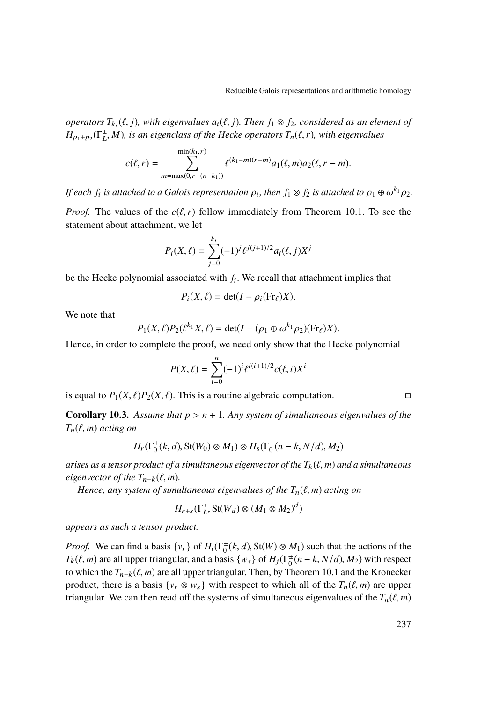*operators*  $T_{ki}(\ell, j)$ *, with eigenvalues*  $a_i(\ell, j)$ *. Then*  $f_1 \otimes f_2$ *, considered as an element of*  $H$   $\ell$   $\rightarrow$   $(T^{\pm} M)$  *is an eigenvalues* of the Hecke operators  $T(\ell, r)$  with eigenvalues  $H_{p_1+p_2}(\Gamma_L^{\pm}, M)$ *, is an eigenclass of the Hecke operators*  $T_n(\ell, r)$ *, with eigenvalues* 

$$
c(\ell, r) = \sum_{m = \max(0, r - (n - k_1))}^{\min(k_1, r)} \ell^{(k_1 - m)(r - m)} a_1(\ell, m) a_2(\ell, r - m).
$$

*If each*  $f_i$  *is attached to a Galois representation*  $\rho_i$ *, then*  $f_1 \otimes f_2$  *is attached to*  $\rho_1 \oplus \omega^{k_1} \rho_2$ *.* 

*Proof.* The values of the  $c(\ell, r)$  follow immediately from Theorem [10.1.](#page-30-0) To see the statement about attachment, we let

$$
P_i(X,\ell) = \sum_{j=0}^{k_i} (-1)^j \ell^{j(j+1)/2} a_i(\ell,j) X^j
$$

be the Hecke polynomial associated with *f*<sup>i</sup> . We recall that attachment implies that

$$
P_i(X,\ell) = \det(I - \rho_i(\mathrm{Fr}_{\ell})X).
$$

We note that

$$
P_1(X,\ell)P_2(\ell^{k_1}X,\ell) = \det(I - (\rho_1 \oplus \omega^{k_1}\rho_2)(\text{Fr}_{\ell})X).
$$

Hence, in order to complete the proof, we need only show that the Hecke polynomial

$$
P(X,\ell) = \sum_{i=0}^{n} (-1)^{i} \ell^{i(i+1)/2} c(\ell, i) X^{i}
$$

is equal to  $P_1(X, \ell)P_2(X, \ell)$ . This is a routine algebraic computation.

<span id="page-31-0"></span>**Corollary 10.3.** Assume that  $p > n + 1$ . Any system of simultaneous eigenvalues of the  $T_n(\ell, m)$  *acting on* 

$$
H_r(\Gamma_0^{\pm}(k, d), \text{St}(W_0) \otimes M_1) \otimes H_s(\Gamma_0^{\pm}(n-k, N/d), M_2)
$$

*arises as a tensor product of a simultaneous eigenvector of the*  $T_k(\ell,m)$  *and a simultaneous eigenvector of the*  $T_{n-k}(\ell, m)$ *.* 

*Hence, any system of simultaneous eigenvalues of the*  $T_n(\ell, m)$  *acting on* 

$$
H_{r+s}(\Gamma_L^{\pm}, \text{St}(W_d) \otimes (M_1 \otimes M_2)^d)
$$

*appears as such a tensor product.*

*Proof.* We can find a basis  $\{v_r\}$  of  $H_i(\Gamma_0^{\pm}(k, d), St(W) \otimes M_1)$  such that the actions of the  $T_i(\ell, m)$  are all upper triangular, and a basis  $\{w_i\}$  of  $H_i(\Gamma_{\pm}^{\pm}(n, k, N/d), M_1)$  with respect  $T_k(\ell, m)$  are all upper triangular, and a basis  $\{w_s\}$  of  $H_j(\Gamma_0^{\pm}(n-k, N/d), M_2)$  with respect<br>to which the  $T_{\text{eff}}(\ell, m)$  are all upper triangular. Then by Theorem 10.1 and the Kronecker to which the  $T_{n-k}(\ell, m)$  are all upper triangular. Then, by Theorem [10.1](#page-30-0) and the Kronecker product, there is a basis  $\{v_r \otimes w_s\}$  with respect to which all of the  $T_n(\ell, m)$  are upper triangular. We can then read off the systems of simultaneous eigenvalues of the  $T_n(\ell, m)$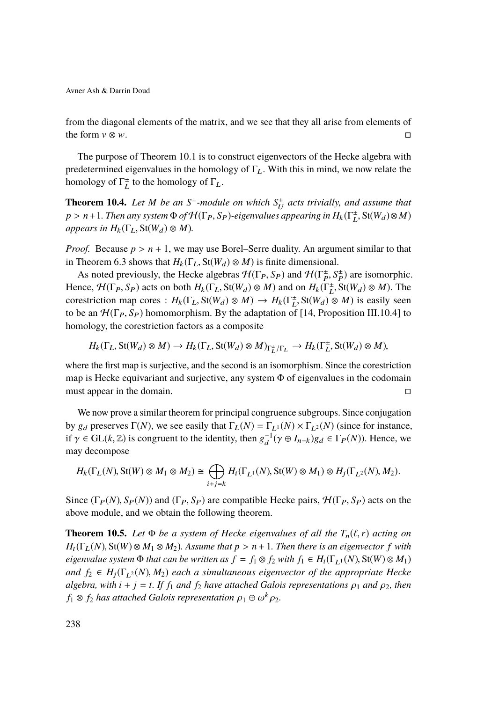from the diagonal elements of the matrix, and we see that they all arise from elements of the form  $v \otimes w$ .

The purpose of Theorem [10.1](#page-30-0) is to construct eigenvectors of the Hecke algebra with predetermined eigenvalues in the homology of  $\Gamma_L$ . With this in mind, we now relate the homology of  $\Gamma_L^{\pm}$  to the homology of  $\Gamma_L$ .

<span id="page-32-1"></span>**Theorem 10.4.** Let *M* be an  $S^{\pm}$ -module on which  $S^{\pm}_{U}$  acts trivially, and assume that  $p > n+1$ . Then any system  $\Phi$  of  $\mathcal{H}(\Gamma_P, S_P)$ -eigenvalues appearing in  $H_k(\Gamma_L^{\pm}, \text{St}(W_d) \otimes M)$ <br>appears in  $H_k(\Gamma_{\pm}, \text{St}(W_d) \otimes M)$ *appears in*  $H_k(\Gamma_L, St(W_d) \otimes M)$ .

*Proof.* Because  $p > n + 1$ , we may use Borel–Serre duality. An argument similar to that in Theorem [6.3](#page-14-0) shows that  $H_k(\Gamma_L, St(W_d) \otimes M)$  is finite dimensional.

As noted previously, the Hecke algebras  $\mathcal{H}(\Gamma_P, S_P)$  and  $\mathcal{H}(\Gamma_P^+, S_P^+)$  are isomorphic.<br>
reg.  $\mathcal{H}(\Gamma_P, S_P)$  acts on both  $H_*(\Gamma_S, S_f(W_1) \otimes M)$  and on  $H_*(\Gamma_S^+, S_f(W_2) \otimes M)$ . The Hence,  $\mathcal{H}(\Gamma_P, S_P)$  acts on both  $H_k(\Gamma_L, St(W_d) \otimes M)$  and on  $H_k(\Gamma_{L}^{\pm}, St(W_d) \otimes M)$ . The correctriction map cores  $\colon H_k(\Gamma_{L}, St(W_d) \otimes M) \to H_k(\Gamma_{L}^{\pm}, St(W_d) \otimes M)$  is easily seen corestriction map cores :  $H_k(\Gamma_L, St(W_d) \otimes M) \to H_k(\Gamma_L^{\pm}, St(W_d) \otimes M)$  is easily seen<br>to be an  $H(\Gamma_L, S_L)$  homomorphism. By the adaptation of [14] Proposition III 10.41 to to be an  $\mathcal{H}(\Gamma_P, S_P)$  homomorphism. By the adaptation of [\[14,](#page-39-10) Proposition III.10.4] to homology, the corestriction factors as a composite

$$
H_k(\Gamma_L, \text{St}(W_d) \otimes M) \to H_k(\Gamma_L, \text{St}(W_d) \otimes M)_{\Gamma_L^{\pm}/\Gamma_L} \to H_k(\Gamma_L^{\pm}, \text{St}(W_d) \otimes M),
$$

where the first map is surjective, and the second is an isomorphism. Since the corestriction map is Hecke equivariant and surjective, any system  $\Phi$  of eigenvalues in the codomain must appear in the domain.

We now prove a similar theorem for principal congruence subgroups. Since conjugation by g<sub>d</sub> preserves Γ(*N*), we see easily that  $\Gamma_L(N) = \Gamma_{L^1}(N) \times \Gamma_{L^2}(N)$  (since for instance, if  $\gamma \in GL(k, \mathbb{Z})$  is congruent to the identity, then  $g_d^{-1}(\gamma \oplus I_{n-k})g_d \in \Gamma_P(N)$ ). Hence, we may decompose may decompose

$$
H_k(\Gamma_L(N), \text{St}(W) \otimes M_1 \otimes M_2) \cong \bigoplus_{i+j=k} H_i(\Gamma_{L^1}(N), \text{St}(W) \otimes M_1) \otimes H_j(\Gamma_{L^2}(N), M_2).
$$

Since  $(\Gamma_P(N), S_P(N))$  and  $(\Gamma_P, S_P)$  are compatible Hecke pairs,  $\mathcal{H}(\Gamma_P, S_P)$  acts on the above module, and we obtain the following theorem.

<span id="page-32-0"></span>**Theorem 10.5.** Let  $\Phi$  be a system of Hecke eigenvalues of all the  $T_n(\ell, r)$  acting on  $H_t(\Gamma_L(N), \text{St}(W) \otimes M_1 \otimes M_2)$ . Assume that  $p > n + 1$ . Then there is an eigenvector f with *eigenvalue system*  $\Phi$  *that can be written as*  $f = f_1 \otimes f_2$  *with*  $f_1 \in H_i(\Gamma_{L^1}(N), \mathcal{S}(W) \otimes M_1)$ *and*  $f_2 \in H_i(\Gamma_{L^2}(N), M_2)$  *each a simultaneous eigenvector of the appropriate Hecke algebra, with*  $i + j = t$ *. If*  $f_1$  *and*  $f_2$  *have attached Galois representations*  $\rho_1$  *and*  $\rho_2$ *, then*  $f_1 \otimes f_2$  *has attached Galois representation*  $\rho_1 \oplus \omega^k \rho_2$ .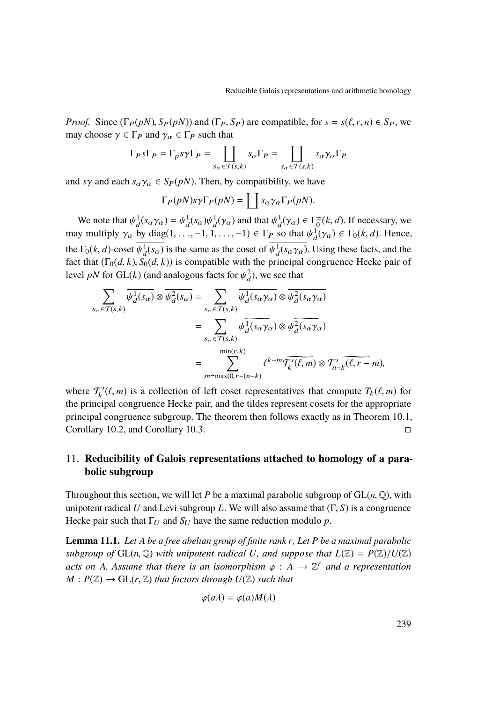*Proof.* Since  $(\Gamma_P(pN), S_P(pN))$  and  $(\Gamma_P, S_P)$  are compatible, for  $s = s(\ell, r, n) \in S_P$ , we may choose  $\gamma \in \Gamma_P$  and  $\gamma_\alpha \in \Gamma_P$  such that

$$
\Gamma_P s \Gamma_P = \Gamma_P s \gamma \Gamma_P = \coprod_{s_\alpha \in \mathcal{T}(s,k)} s_\alpha \Gamma_P = \coprod_{s_\alpha \in \mathcal{T}(s,k)} s_\alpha \gamma_\alpha \Gamma_P
$$

and *s*γ and each  $s_\alpha \gamma_\alpha \in S_P(pN)$ . Then, by compatibility, we have

$$
\Gamma_P(pN)s\gamma\Gamma_P(pN)=\coprod s_\alpha\gamma_\alpha\Gamma_P(pN).
$$

We note that  $\psi_d^1(s_\alpha \gamma_\alpha) = \psi_d^1(s_\alpha) \psi_d^1(\gamma_\alpha)$  and that  $\psi_d^1(\gamma_\alpha) \in \Gamma^{\pm}(k, d)$ . If necessary, we will have the distribution of the distribution of the distribution of the distribution of the distribution of the distri may multiply  $\gamma_{\alpha}$  by diag(1, ..., -1, 1, ..., -1)  $\in \Gamma_P$  so that  $\psi_d^1(\gamma_{\alpha}) \in \Gamma_0(k, d)$ . Hence, the  $\Gamma_0(k, d)$ -coset  $\psi_d^1(s_\alpha)$  is the same as the coset of  $\psi_d^1(s_\alpha \gamma_\alpha)$ . Using these facts, and the fact that  $(\Gamma_1(d, k), \mathcal{S}_2(d, k))$  is compatible with the principal congruence Hecke pair of fact that  $(\Gamma_0(d, k), S_0(d, k))$  is compatible with the principal congruence Hecke pair of level *pN* for GL(*k*) (and analogous facts for  $\psi_d^2$ ), we see that

$$
\sum_{s_{\alpha} \in \mathcal{T}(s,k)} \overline{\psi_d^1(s_{\alpha})} \otimes \overline{\psi_d^2(s_{\alpha})} = \sum_{s_{\alpha} \in \mathcal{T}(s,k)} \overline{\psi_d^1(s_{\alpha}\gamma_{\alpha})} \otimes \overline{\psi_d^2(s_{\alpha}\gamma_{\alpha})}
$$
\n
$$
= \sum_{s_{\alpha} \in \mathcal{T}(s,k)} \psi_d^1(s_{\alpha}\gamma_{\alpha}) \otimes \psi_d^2(s_{\alpha}\gamma_{\alpha})
$$
\n
$$
= \sum_{m = \max(0,r - (n-k)} m = \max(0,r - (n-k)) \otimes \mathcal{T}'_{n-k}(\ell, r - m),
$$

where  $\mathcal{T}'_k(\ell, m)$  is a collection of left coset representatives that compute  $T_k(\ell, m)$  for the principal congruence Hecke peir, and the tildes represent cosets for the appropriate the principal congruence Hecke pair, and the tildes represent cosets for the appropriate principal congruence subgroup. The theorem then follows exactly as in Theorem [10.1,](#page-30-0) Corollary [10.2,](#page-30-1) and Corollary [10.3.](#page-31-0)

# 11. **Reducibility of Galois representations attached to homology of a parabolic subgroup**

Throughout this section, we will let *P* be a maximal parabolic subgroup of  $GL(n, \mathbb{Q})$ , with unipotent radical *<sup>U</sup>* and Levi subgroup *<sup>L</sup>*. We will also assume that (Γ, *<sup>S</sup>*) is a congruence Hecke pair such that  $\Gamma_U$  and  $S_U$  have the same reduction modulo *p*.

<span id="page-33-0"></span>**Lemma 11.1.** *Let A be a free abelian group of finite rank r, Let P be a maximal parabolic subgroup of*  $GL(n, \mathbb{Q})$  *with unipotent radical U, and suppose that*  $L(\mathbb{Z}) = P(\mathbb{Z})/U(\mathbb{Z})$ *acts on A. Assume that there is an isomorphism*  $\varphi : A \to \mathbb{Z}^r$  *and a representation*  $M \cdot P(\mathbb{Z}) \to Gl(r, \mathbb{Z})$  that factors through  $U(\mathbb{Z})$  such that  $M: P(\mathbb{Z}) \longrightarrow GL(r, \mathbb{Z})$  *that factors through*  $U(\mathbb{Z})$  *such that* 

$$
\varphi(a\lambda) = \varphi(a)M(\lambda)
$$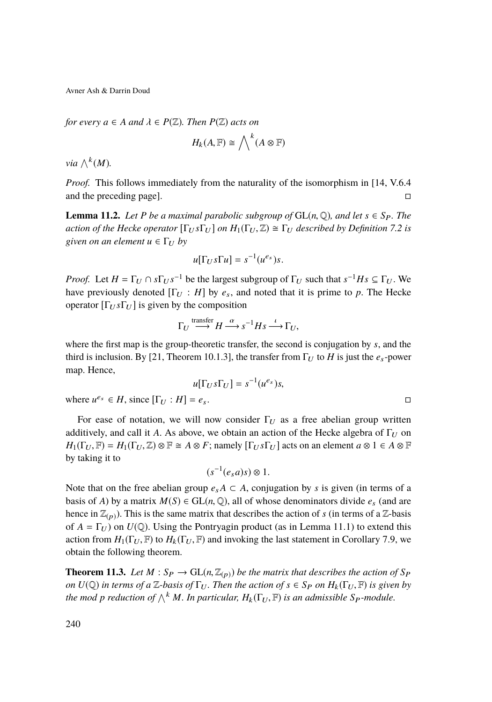*for every*  $a \in A$  *and*  $\lambda \in P(\mathbb{Z})$ *. Then*  $P(\mathbb{Z})$  *acts on* 

$$
H_k(A, \mathbb{F}) \cong \bigwedge\nolimits^k (A \otimes \mathbb{F})
$$

 $via \wedge^k(M)$ .

*Proof.* This follows immediately from the naturality of the isomorphism in [\[14,](#page-39-10) V.6.4 and the preceding page].

**Lemma 11.2.** *Let P be a maximal parabolic subgroup of*  $GL(n, \mathbb{Q})$ *, and let*  $s \in S_P$ *. The action of the Hecke operator*  $[\Gamma_U s \Gamma_U]$  *on*  $H_1(\Gamma_U, \mathbb{Z}) \cong \Gamma_U$  *described by Definition* [7.2](#page-16-0) *is given on an element*  $u \in \Gamma_U$  *by* 

$$
u[\Gamma_U s \Gamma u] = s^{-1}(u^{e_s})s.
$$

*Proof.* Let  $H = \Gamma_U \cap s \Gamma_U s^{-1}$  be the largest subgroup of  $\Gamma_U$  such that  $s^{-1}Hs \subseteq \Gamma_U$ . We have previously denoted  $[\Gamma_U : H]$  by  $e_s$ , and noted that it is prime to p. The Hecke operator  $[\Gamma_U s \Gamma_U]$  is given by the composition

$$
\Gamma_U \stackrel{\text{transfer}}{\longrightarrow} H \stackrel{\alpha}{\longrightarrow} s^{-1} H s \stackrel{\iota}{\longrightarrow} \Gamma_U,
$$

where the first map is the group-theoretic transfer, the second is conjugation by *s*, and the third is inclusion. By [\[21,](#page-39-13) Theorem 10.1.3], the transfer from  $\Gamma_U$  to *H* is just the  $e_s$ -power map. Hence,

$$
u[\Gamma_U s \Gamma_U] = s^{-1}(u^{e_s})s,
$$
  

$$
e_s \in H, \text{ since } [\Gamma_U : H] = e_s.
$$

where  $u^{e_s} \in H$ ,

For ease of notation, we will now consider  $\Gamma_{U}$  as a free abelian group written additively, and call it *A*. As above, we obtain an action of the Hecke algebra of  $\Gamma_U$  on  $H_1(\Gamma_U, \mathbb{F}) = H_1(\Gamma_U, \mathbb{Z}) \otimes \mathbb{F} \cong A \otimes F$ ; namely  $[\Gamma_U s \Gamma_U]$  acts on an element  $a \otimes 1 \in A \otimes \mathbb{F}$ by taking it to

$$
(s^{-1}(e_s a)s)\otimes 1.
$$

Note that on the free abelian group  $e_sA \subset A$ , conjugation by *s* is given (in terms of a basis of *A*) by a matrix  $M(S) \in GL(n, \mathbb{Q})$ , all of whose denominators divide  $e_s$  (and are hence in  $\mathbb{Z}_{(p)}$ ). This is the same matrix that describes the action of *s* (in terms of a  $\mathbb{Z}$ -basis of  $A = \Gamma_U$ ) on  $U(\mathbb{Q})$ . Using the Pontryagin product (as in Lemma [11.1\)](#page-33-0) to extend this action from  $H_1(\Gamma_U, \mathbb{F})$  to  $H_k(\Gamma_U, \mathbb{F})$  and invoking the last statement in Corollary [7.9,](#page-19-1) we obtain the following theorem.

**Theorem 11.3.** Let  $M : S_P \to GL(n, \mathbb{Z}_{(p)})$  be the matrix that describes the action of  $S_P$ *on*  $U(\mathbb{Q})$  *in terms of a*  $\mathbb{Z}$ *-basis of*  $\Gamma_U$ *. Then the action of*  $s \in S_P$  *on*  $H_k(\Gamma_U, \mathbb{F})$  *is given by the mod p reduction of*  $\bigwedge^k M$ *. In particular,*  $H_k(\Gamma_U, \mathbb{F})$  *is an admissible*  $S_P$ *-module.*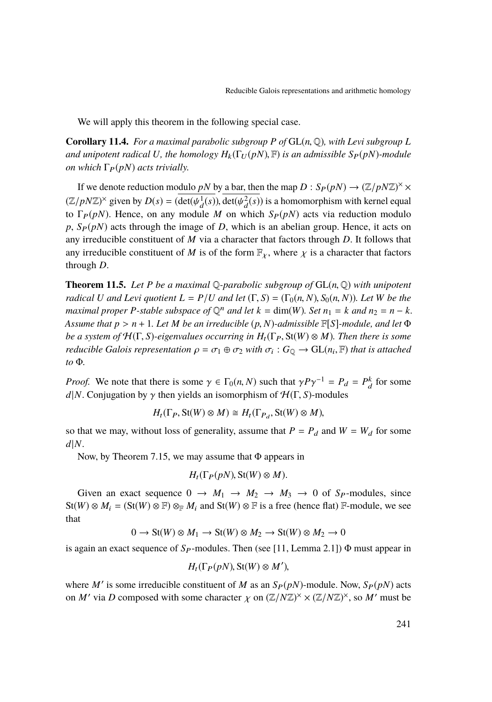We will apply this theorem in the following special case.

<span id="page-35-1"></span>**Corollary 11.4.** For a maximal parabolic subgroup P of  $GL(n, \mathbb{Q})$ , with Levi subgroup L *and unipotent radical U, the homology*  $H_k(\Gamma_U(pN), \mathbb{F})$  *is an admissible*  $S_P(pN)$ *-module on which*  $\Gamma_P(pN)$  *acts trivially.* 

If we denote reduction modulo *pN* by a bar, then the map  $D : S_P(pN) \to (\mathbb{Z}/pN\mathbb{Z})^{\times} \times$  $(\mathbb{Z}/pN\mathbb{Z})^{\times}$  given by  $D(s) = (\det(\psi_d^1(s)), \det(\psi_d^2(s))$  is a homomorphism with kernel equal to  $\Gamma_c(nN)$ . Hence, on any modula *M* on which  $S_c(nN)$  acts via reduction modula to  $\Gamma_P(pN)$ . Hence, on any module *M* on which  $S_P(pN)$  acts via reduction modulo  $p, S_P(pN)$  acts through the image of *D*, which is an abelian group. Hence, it acts on any irreducible constituent of *M* via a character that factors through *D*. It follows that any irreducible constituent of *M* is of the form  $\mathbb{F}_\chi$ , where  $\chi$  is a character that factors through *D*.

<span id="page-35-0"></span>**Theorem 11.5.** Let P be a maximal  $\mathbb{Q}$ -parabolic subgroup of  $GL(n, \mathbb{Q})$  with unipotent *radical U and Levi quotient*  $L = P/U$  *and let*  $(\Gamma, S) = (\Gamma_0(n, N), S_0(n, N))$ *. Let W be the maximal proper P*-stable subspace of  $\mathbb{Q}^n$  and let  $k = \dim(W)$ . Set  $n_1 = k$  and  $n_2 = n - k$ . *Assume that <sup>p</sup>* > *<sup>n</sup>* <sup>+</sup> <sup>1</sup>*. Let <sup>M</sup> be an irreducible* (*p*, *<sup>N</sup>*)*-admissible* <sup>F</sup>[*S*]*-module, and let* <sup>Φ</sup> *be a system of*  $H(\Gamma, S)$ -eigenvalues occurring in  $H_t(\Gamma_P, St(W) \otimes M)$ . Then there is some *reducible Galois representation*  $\rho = \sigma_1 \oplus \sigma_2$  *with*  $\sigma_i : G_{\mathbb{Q}} \to \text{GL}(n_i, \mathbb{F})$  *that is attached to* Φ*.*

*Proof.* We note that there is some  $\gamma \in \Gamma_0(n, N)$  such that  $\gamma P \gamma^{-1} = P_d = P_d^k$  for some dl *N*. Conjugation by  $\alpha$  then viables an isomorphism of  $H(\Gamma, S)$  modules *d*|*N*. Conjugation by  $\gamma$  then yields an isomorphism of  $\mathcal{H}(\Gamma, S)$ -modules

$$
H_t(\Gamma_P, \text{St}(W) \otimes M) \cong H_t(\Gamma_{P_d}, \text{St}(W) \otimes M),
$$

so that we may, without loss of generality, assume that  $P = P_d$  and  $W = W_d$  for some *d*|*N*.

Now, by Theorem [7.15,](#page-21-0) we may assume that Φ appears in

$$
H_t(\Gamma_P(pN),\text{St}(W)\otimes M).
$$

Given an exact sequence  $0 \rightarrow M_1 \rightarrow M_2 \rightarrow M_3 \rightarrow 0$  of *S<sub>P</sub>*-modules, since  $St(W) \otimes M_i = (St(W) \otimes \mathbb{F}) \otimes_{\mathbb{F}} M_i$  and  $St(W) \otimes \mathbb{F}$  is a free (hence flat)  $\mathbb{F}$ -module, we see that

$$
0 \to St(W) \otimes M_1 \to St(W) \otimes M_2 \to St(W) \otimes M_2 \to 0
$$

is again an exact sequence of  $S_P$ -modules. Then (see [\[11,](#page-39-11) Lemma 2.1])  $\Phi$  must appear in

$$
H_t(\Gamma_P(pN),\text{St}(W)\otimes M'),
$$

where *M'* is some irreducible constituent of *M* as an  $S_P(pN)$ -module. Now,  $S_P(pN)$  acts on *M'* via *D* composed with some character  $\chi$  on  $(\mathbb{Z}/N\mathbb{Z})^{\times} \times (\mathbb{Z}/N\mathbb{Z})^{\times}$ , so *M'* must be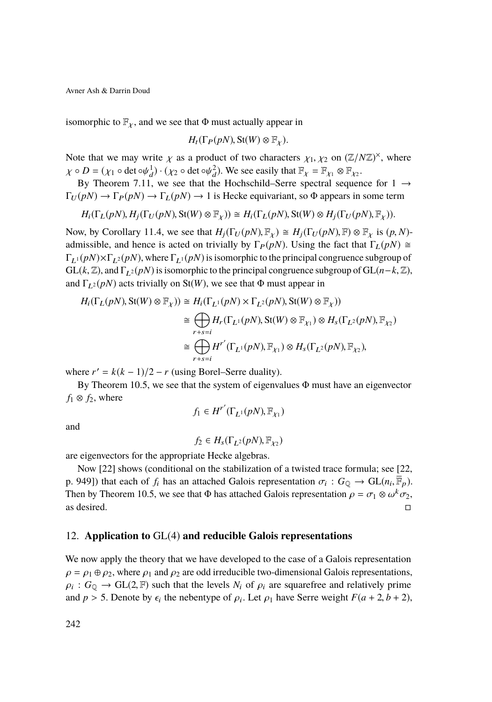isomorphic to  $\mathbb{F}_{\gamma}$ , and we see that  $\Phi$  must actually appear in

$$
H_t(\Gamma_P(pN),\mathop{\mathrm{St}}\nolimits(W)\otimes\mathbb{F}_\chi).
$$

Note that we may write  $\chi$  as a product of two characters  $\chi_1, \chi_2$  on  $(\mathbb{Z}/N\mathbb{Z})^{\times}$ , where  $\chi_2 \cap \mathbb{Z} = (\chi_2 \cap \text{det}(\mathbb{Z}/N\mathbb{Z}))$ . We see easily that  $\mathbb{E} = \mathbb{E} \otimes \mathbb{E}$  $\chi \circ D = (\chi_1 \circ \det \circ \psi_d^1) \cdot (\chi_2 \circ \det \circ \psi_d^2)$ . We see easily that  $\mathbb{F}_\chi = \mathbb{F}_{\chi_1} \otimes \mathbb{F}_{\chi_2}$ .

By Theorem [7.11,](#page-20-0) we see that the Hochschild–Serre spectral sequence for  $1 \rightarrow$  $\Gamma_U(pN) \to \Gamma_P(pN) \to \Gamma_L(pN) \to 1$  is Hecke equivariant, so  $\Phi$  appears in some term

$$
H_i(\Gamma_L(pN), H_j(\Gamma_U(pN), \text{St}(W) \otimes \mathbb{F}_\chi)) \cong H_i(\Gamma_L(pN), \text{St}(W) \otimes H_j(\Gamma_U(pN), \mathbb{F}_\chi)).
$$

Now, by Corollary [11.4,](#page-35-1) we see that  $H_i(\Gamma_U(pN), \mathbb{F}_\chi) \cong H_i(\Gamma_U(pN), \mathbb{F}) \otimes \mathbb{F}_\chi$  is  $(p, N)$ admissible, and hence is acted on trivially by  $\Gamma_P(pN)$ . Using the fact that  $\Gamma_L(pN) \cong$  $\Gamma_{L}(\rho N) \times \Gamma_{L}(\rho N)$ , where  $\Gamma_{L}(pN)$  is isomorphic to the principal congruence subgroup of  $GL(k, \mathbb{Z})$ , and  $\Gamma_{L^2}(pN)$  is isomorphic to the principal congruence subgroup of  $GL(n-k, \mathbb{Z})$ , and  $\Gamma_{L^2}(p)$  acts trivially on St(*W*), we see that Φ must appear in

$$
H_i(\Gamma_L(pN), \text{St}(W) \otimes \mathbb{F}_\chi)) \cong H_i(\Gamma_{L^1}(pN) \times \Gamma_{L^2}(pN), \text{St}(W) \otimes \mathbb{F}_\chi))
$$
  
\n
$$
\cong \bigoplus_{r+s=i} H_r(\Gamma_{L^1}(pN), \text{St}(W) \otimes \mathbb{F}_{\chi_1}) \otimes H_s(\Gamma_{L^2}(pN), \mathbb{F}_{\chi_2})
$$
  
\n
$$
\cong \bigoplus_{r+s=i} H^{r'}(\Gamma_{L^1}(pN), \mathbb{F}_{\chi_1}) \otimes H_s(\Gamma_{L^2}(pN), \mathbb{F}_{\chi_2}),
$$

where  $r' = k(k-1)/2 - r$  (using Borel–Serre duality).

By Theorem [10.5,](#page-32-0) we see that the system of eigenvalues Φ must have an eigenvector  $f_1 \otimes f_2$ , where

$$
f_1 \in H^{r'}(\Gamma_{L^1}(pN), \mathbb{F}_{\chi_1})
$$

and

$$
f_2 \in H_s(\Gamma_{L^2}(pN), \mathbb{F}_{\chi_2})
$$

are eigenvectors for the appropriate Hecke algebras.

Now [\[22\]](#page-39-14) shows (conditional on the stabilization of a twisted trace formula; see [\[22,](#page-39-14) p. 949]) that each of  $f_i$  has an attached Galois representation  $\sigma_i : G_{\mathbb{Q}} \to GL(n_i, \overline{\mathbb{F}}_p)$ .<br>Then by Theorem 10.5, we see that  $\Phi$  has attached Galois representation  $\phi = \sigma_i \otimes \phi_i k \sigma_j$ . Then by Theorem [10.5,](#page-32-0) we see that  $\Phi$  has attached Galois representation  $\rho = \sigma_1 \otimes \omega^k \sigma_2$ , as desired as desired.

### 12. **Application to** GL(4) **and reducible Galois representations**

We now apply the theory that we have developed to the case of a Galois representation  $\rho = \rho_1 \oplus \rho_2$ , where  $\rho_1$  and  $\rho_2$  are odd irreducible two-dimensional Galois representations,  $\rho_i$ :  $G_Q \to GL(2, \mathbb{F})$  such that the levels  $N_i$  of  $\rho_i$  are squarefree and relatively prime and  $p > 5$ . Denote by  $\epsilon_i$  the nebentype of  $\rho_i$ . Let  $\rho_1$  have Serre weight  $F(a + 2, b + 2)$ ,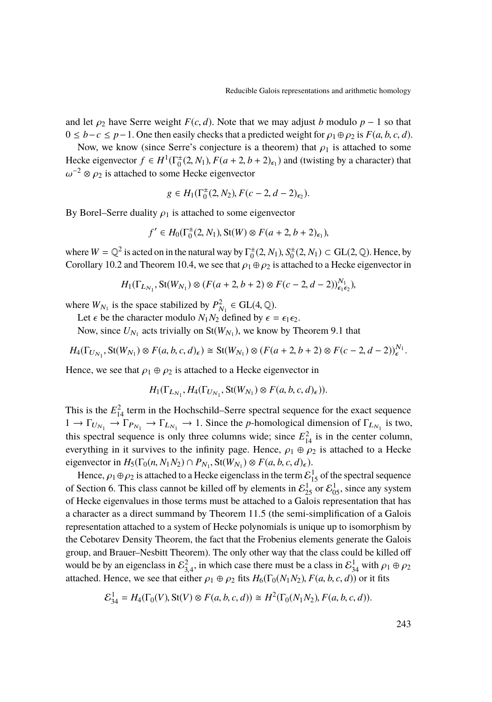and let  $\rho_2$  have Serre weight *F*(*c*, *d*). Note that we may adjust *b* modulo *p* − 1 so that  $0 \leq b - c \leq p - 1$ . One then easily checks that a predicted weight for  $\rho_1 \oplus \rho_2$  is  $F(a, b, c, d)$ .

Now, we know (since Serre's conjecture is a theorem) that  $\rho_1$  is attached to some Hecke eigenvector  $f \in H^1(\Gamma_0^{\pm}(2, N_1), F(a+2, b+2)_{\epsilon_1})$  and (twisting by a character) that  $\epsilon_1^{-2} \otimes \epsilon_2$  is attached to some Hecke eigenvector.  $\omega^{-2} \otimes \rho_2$  is attached to some Hecke eigenvector

$$
g \in H_1(\Gamma_0^{\pm}(2, N_2), F(c-2, d-2)_{\epsilon_2}).
$$

By Borel–Serre duality  $\rho_1$  is attached to some eigenvector

$$
f' \in H_0(\Gamma_0^{\pm}(2, N_1), \text{St}(W) \otimes F(a+2, b+2)_{\epsilon_1}),
$$

where  $W = \mathbb{Q}^2$  is acted on in the natural way by  $\Gamma_0^{\pm}(2, N_1), S_0^{\pm}(2, N_1) \subset GL(2, \mathbb{Q})$ . Hence, by<br>Corollary 10.2 and Theorem 10.4, we see that  $\alpha \in \mathbb{Q}$  as is attached to a Hecke eigenvector in Corollary [10.2](#page-30-1) and Theorem [10.4,](#page-32-1) we see that  $\rho_1 \oplus \rho_2$  is attached to a Hecke eigenvector in

$$
H_1(\Gamma_{L_{N_1}}, \mathbf{St}(W_{N_1}) \otimes (F(a+2, b+2) \otimes F(c-2, d-2))_{\epsilon_1 \epsilon_2}^{N_1}),
$$

where  $W_{N_1}$  is the space stabilized by  $P_{N_1}^2 \in GL(4, \mathbb{Q})$ .<br>Let c be the character modulo  $N_1 N_2$  defined by c

Let  $\epsilon$  be the character modulo  $N_1N_2$  defined by  $\epsilon = \epsilon_1 \epsilon_2$ .

Now, since  $U_{N_1}$  acts trivially on  $St(W_{N_1})$ , we know by Theorem [9.1](#page-28-0) that

 $H_4(\Gamma_{U_{N_1}}, \text{St}(W_{N_1}) \otimes F(a, b, c, d)_{\epsilon}) \cong \text{St}(W_{N_1}) \otimes (F(a+2, b+2) \otimes F(c-2, d-2))_{\epsilon}^{N_1}.$ 

Hence, we see that  $\rho_1 \oplus \rho_2$  is attached to a Hecke eigenvector in

$$
H_1(\Gamma_{L_{N_1}}, H_4(\Gamma_{U_{N_1}}, \mathbf{St}(W_{N_1}) \otimes F(a, b, c, d)_{\epsilon})).
$$

This is the  $E_{14}^2$  term in the Hochschild–Serre spectral sequence for the exact sequence  $1 \to \Gamma_{U_{N_1}} \to \Gamma_{P_{N_1}} \to \Gamma_{L_{N_1}} \to 1$ . Since the *p*-homological dimension of  $\Gamma_{L_{N_1}}$  is two, this spectral sequence is only three columns wide; since  $E_{14}^2$  is in the center column, everything in it survives to the infinity page. Hence,  $\rho_1 \oplus \rho_2$  is attached to a Hecke eigenvector in  $H_5(\Gamma_0(n, N_1N_2) \cap P_{N_1}, \text{St}(W_{N_1}) \otimes F(a, b, c, d)_{\epsilon})$ .<br>Hence  $\Omega$ ,  $\mathbb{R}$  as is attached to a Hecke eigencloss in the term  $\mathcal{E}$ .

Hence,  $\rho_1 \oplus \rho_2$  is attached to a Hecke eigenclass in the term  $\mathcal{E}^1_{1.5}$  of the spectral sequence of Section [6.](#page-13-1) This class cannot be killed off by elements in  $\mathcal{E}^1_{25}$  or  $\mathcal{E}^1_{05}$ , since any system of Hecke eigenvalues in those terms must be attached to a Galois representation that has a character as a direct summand by Theorem [11.5](#page-35-0) (the semi-simplification of a Galois representation attached to a system of Hecke polynomials is unique up to isomorphism by the Cebotarev Density Theorem, the fact that the Frobenius elements generate the Galois group, and Brauer–Nesbitt Theorem). The only other way that the class could be killed off would be by an eigenclass in  $\mathcal{E}_{3,4}^2$ , in which case there must be a class in  $\mathcal{E}_{3,4}^1$  with  $\rho_1 \oplus \rho_2$ <br>attached Hance we see that either  $\rho_1 \oplus \rho_2$  fits  $H_1(\Gamma_1(N,N_1), F(a, b, a, d))$  or it fits attached. Hence, we see that either  $\rho_1 \oplus \rho_2$  fits  $H_6(\Gamma_0(N_1N_2), F(a, b, c, d))$  or it fits

$$
\mathcal{E}_{34}^1 = H_4(\Gamma_0(V), \text{St}(V) \otimes F(a, b, c, d)) \cong H^2(\Gamma_0(N_1N_2), F(a, b, c, d)).
$$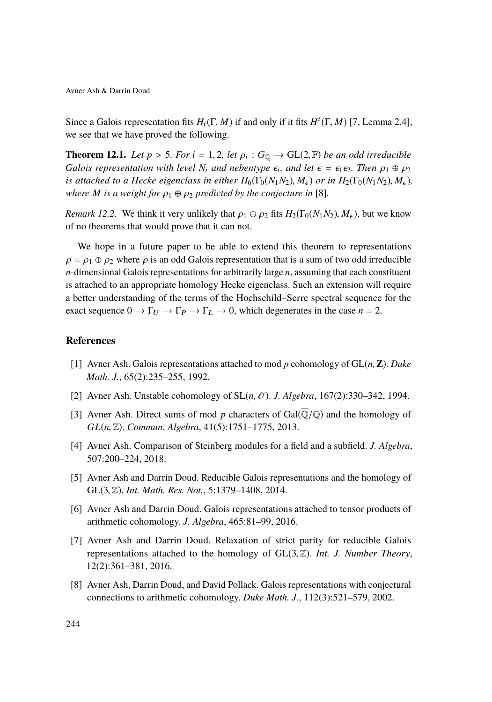Since a Galois representation fits  $H_t(\Gamma, M)$  if and only if it fits  $H^t(\Gamma, M)$  [\[7,](#page-38-4) Lemma 2.4], we see that we have proved the following.

**Theorem 12.1.** *Let*  $p > 5$ *. For*  $i = 1, 2$ *, let*  $\rho_i : G_{\mathbb{Q}} \to GL(2, \mathbb{F})$  *be an odd irreducible*<br>*Galois representation with level N, and nebentyne*  $\epsilon$ *, and let*  $\epsilon = \epsilon$   $\epsilon$ *c*. Then  $\epsilon$ *i*,  $\mathbb{Q}$   $\infty$ *Galois representation with level*  $N_i$  *and nebentype*  $\epsilon_i$ *, and let*  $\epsilon = \epsilon_1 \epsilon_2$ *. Then*  $\rho_1 \oplus \rho_2$ <br>*is attached to a Hecke siggnology in either H*( $\Gamma_r(N, N_r)$  *M*) or *in H*( $\Gamma_r(N, N_r)$  *M*) *is attached to a Hecke eigenclass in either*  $H_6(\Gamma_0(N_1N_2), M_e)$  *or in*  $H_2(\Gamma_0(N_1N_2), M_e)$ *where M is a weight for*  $\rho_1 \oplus \rho_2$  *predicted by the conjecture in* [\[8\]](#page-38-0)*.* 

*Remark 12.2.* We think it very unlikely that  $\rho_1 \oplus \rho_2$  fits  $H_2(\Gamma_0(N_1N_2), M_\epsilon)$ , but we know of no theorems that would prove that it can not.

We hope in a future paper to be able to extend this theorem to representations  $\rho = \rho_1 \oplus \rho_2$  where  $\rho$  is an odd Galois representation that is a sum of two odd irreducible *n*-dimensional Galois representations for arbitrarily large *n*, assuming that each constituent is attached to an appropriate homology Hecke eigenclass. Such an extension will require a better understanding of the terms of the Hochschild–Serre spectral sequence for the exact sequence  $0 \to \Gamma_U \to \Gamma_P \to \Gamma_L \to 0$ , which degenerates in the case  $n = 2$ .

### <span id="page-38-5"></span>**References**

- [1] Avner Ash. Galois representations attached to mod *<sup>p</sup>* cohomology of GL(*n*, **<sup>Z</sup>**). *Duke Math. J.*, 65(2):235–255, 1992.
- <span id="page-38-6"></span>[2] Avner Ash. Unstable cohomology of  $SL(n, \mathcal{O})$ . *J. Algebra*, 167(2):330–342, 1994.
- <span id="page-38-1"></span>[3] Avner Ash. Direct sums of mod p characters of  $Gal(\overline{Q}/Q)$  and the homology of *GL*(*n*, <sup>Z</sup>). *Commun. Algebra*, 41(5):1751–1775, 2013.
- <span id="page-38-7"></span>[4] Avner Ash. Comparison of Steinberg modules for a field and a subfield. *J. Algebra*, 507:200–224, 2018.
- <span id="page-38-2"></span>[5] Avner Ash and Darrin Doud. Reducible Galois representations and the homology of GL(3, <sup>Z</sup>). *Int. Math. Res. Not.*, 5:1379–1408, 2014.
- <span id="page-38-3"></span>[6] Avner Ash and Darrin Doud. Galois representations attached to tensor products of arithmetic cohomology. *J. Algebra*, 465:81–99, 2016.
- <span id="page-38-4"></span>[7] Avner Ash and Darrin Doud. Relaxation of strict parity for reducible Galois representations attached to the homology of GL(3, <sup>Z</sup>). *Int. J. Number Theory*, 12(2):361–381, 2016.
- <span id="page-38-0"></span>[8] Avner Ash, Darrin Doud, and David Pollack. Galois representations with conjectural connections to arithmetic cohomology. *Duke Math. J.*, 112(3):521–579, 2002.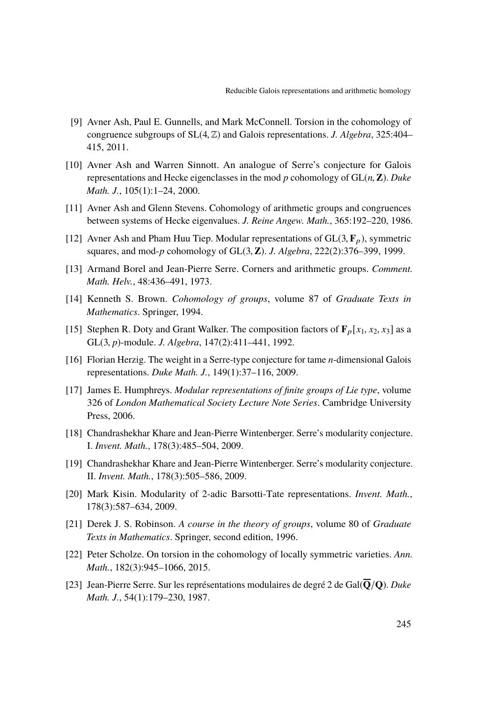- <span id="page-39-8"></span>[9] Avner Ash, Paul E. Gunnells, and Mark McConnell. Torsion in the cohomology of congruence subgroups of SL(4, <sup>Z</sup>) and Galois representations. *J. Algebra*, 325:404– 415, 2011.
- <span id="page-39-4"></span>[10] Avner Ash and Warren Sinnott. An analogue of Serre's conjecture for Galois representations and Hecke eigenclasses in the mod *<sup>p</sup>* cohomology of GL(*n*, **<sup>Z</sup>**). *Duke Math. J.*, 105(1):1–24, 2000.
- <span id="page-39-11"></span>[11] Avner Ash and Glenn Stevens. Cohomology of arithmetic groups and congruences between systems of Hecke eigenvalues. *J. Reine Angew. Math.*, 365:192–220, 1986.
- <span id="page-39-6"></span>[12] Avner Ash and Pham Huu Tiep. Modular representations of  $GL(3, \mathbf{F}_p)$ , symmetric squares, and mod-*<sup>p</sup>* cohomology of GL(3, **<sup>Z</sup>**). *J. Algebra*, 222(2):376–399, 1999.
- <span id="page-39-7"></span>[13] Armand Borel and Jean-Pierre Serre. Corners and arithmetic groups. *Comment. Math. Helv.*, 48:436–491, 1973.
- <span id="page-39-10"></span>[14] Kenneth S. Brown. *Cohomology of groups*, volume 87 of *Graduate Texts in Mathematics*. Springer, 1994.
- <span id="page-39-9"></span>[15] Stephen R. Doty and Grant Walker. The composition factors of  $\mathbf{F}_p[x_1, x_2, x_3]$  as a GL(3, *<sup>p</sup>*)-module. *J. Algebra*, 147(2):411–441, 1992.
- <span id="page-39-5"></span>[16] Florian Herzig. The weight in a Serre-type conjecture for tame *n*-dimensional Galois representations. *Duke Math. J.*, 149(1):37–116, 2009.
- <span id="page-39-12"></span>[17] James E. Humphreys. *Modular representations of finite groups of Lie type*, volume 326 of *London Mathematical Society Lecture Note Series*. Cambridge University Press, 2006.
- <span id="page-39-1"></span>[18] Chandrashekhar Khare and Jean-Pierre Wintenberger. Serre's modularity conjecture. I. *Invent. Math.*, 178(3):485–504, 2009.
- <span id="page-39-2"></span>[19] Chandrashekhar Khare and Jean-Pierre Wintenberger. Serre's modularity conjecture. II. *Invent. Math.*, 178(3):505–586, 2009.
- <span id="page-39-3"></span>[20] Mark Kisin. Modularity of 2-adic Barsotti-Tate representations. *Invent. Math.*, 178(3):587–634, 2009.
- <span id="page-39-13"></span>[21] Derek J. S. Robinson. *A course in the theory of groups*, volume 80 of *Graduate Texts in Mathematics*. Springer, second edition, 1996.
- <span id="page-39-14"></span>[22] Peter Scholze. On torsion in the cohomology of locally symmetric varieties. *Ann. Math.*, 182(3):945–1066, 2015.
- <span id="page-39-0"></span>[23] Jean-Pierre Serre. Sur les représentations modulaires de degré 2 de Gal(**Q**/**Q**). *Duke Math. J.*, 54(1):179–230, 1987.